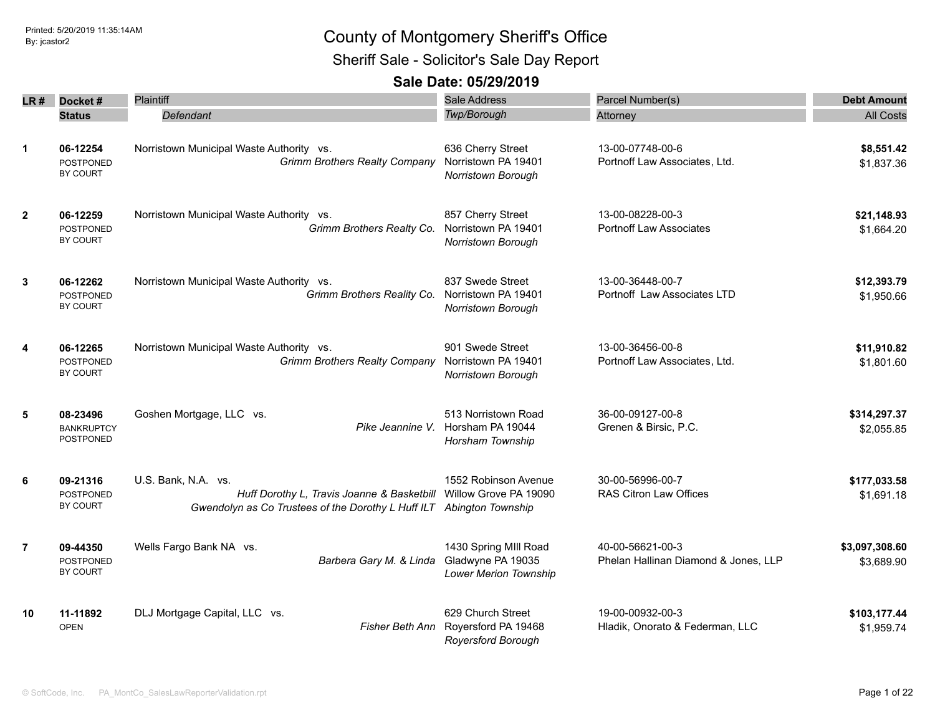Sheriff Sale - Solicitor's Sale Day Report

| LR #           | Docket#                                           | Plaintiff                                                                                                                                                       | <b>Sale Address</b>                                                        | Parcel Number(s)                                         | <b>Debt Amount</b>           |
|----------------|---------------------------------------------------|-----------------------------------------------------------------------------------------------------------------------------------------------------------------|----------------------------------------------------------------------------|----------------------------------------------------------|------------------------------|
|                | <b>Status</b>                                     | Defendant                                                                                                                                                       | Twp/Borough                                                                | Attorney                                                 | <b>All Costs</b>             |
| $\mathbf{1}$   | 06-12254<br><b>POSTPONED</b><br>BY COURT          | Norristown Municipal Waste Authority vs.<br><b>Grimm Brothers Realty Company</b>                                                                                | 636 Cherry Street<br>Norristown PA 19401<br>Norristown Borough             | 13-00-07748-00-6<br>Portnoff Law Associates, Ltd.        | \$8,551.42<br>\$1,837.36     |
| $\overline{2}$ | 06-12259<br><b>POSTPONED</b><br>BY COURT          | Norristown Municipal Waste Authority vs.<br>Grimm Brothers Realty Co.                                                                                           | 857 Cherry Street<br>Norristown PA 19401<br>Norristown Borough             | 13-00-08228-00-3<br><b>Portnoff Law Associates</b>       | \$21,148.93<br>\$1,664.20    |
| $\mathbf{3}$   | 06-12262<br>POSTPONED<br>BY COURT                 | Norristown Municipal Waste Authority vs.<br>Grimm Brothers Reality Co.                                                                                          | 837 Swede Street<br>Norristown PA 19401<br>Norristown Borough              | 13-00-36448-00-7<br>Portnoff Law Associates LTD          | \$12,393.79<br>\$1,950.66    |
| 4              | 06-12265<br><b>POSTPONED</b><br><b>BY COURT</b>   | Norristown Municipal Waste Authority vs.<br><b>Grimm Brothers Realty Company</b>                                                                                | 901 Swede Street<br>Norristown PA 19401<br>Norristown Borough              | 13-00-36456-00-8<br>Portnoff Law Associates, Ltd.        | \$11,910.82<br>\$1,801.60    |
| 5              | 08-23496<br><b>BANKRUPTCY</b><br><b>POSTPONED</b> | Goshen Mortgage, LLC vs.<br>Pike Jeannine V.                                                                                                                    | 513 Norristown Road<br>Horsham PA 19044<br>Horsham Township                | 36-00-09127-00-8<br>Grenen & Birsic, P.C.                | \$314,297.37<br>\$2,055.85   |
| 6              | 09-21316<br>POSTPONED<br><b>BY COURT</b>          | U.S. Bank, N.A. vs.<br>Huff Dorothy L, Travis Joanne & Basketbill Willow Grove PA 19090<br>Gwendolyn as Co Trustees of the Dorothy L Huff ILT Abington Township | 1552 Robinson Avenue                                                       | 30-00-56996-00-7<br><b>RAS Citron Law Offices</b>        | \$177,033.58<br>\$1,691.18   |
| $\overline{7}$ | 09-44350<br><b>POSTPONED</b><br>BY COURT          | Wells Fargo Bank NA vs.<br>Barbera Gary M. & Linda                                                                                                              | 1430 Spring MIII Road<br>Gladwyne PA 19035<br><b>Lower Merion Township</b> | 40-00-56621-00-3<br>Phelan Hallinan Diamond & Jones, LLP | \$3,097,308.60<br>\$3,689.90 |
| 10             | 11-11892<br><b>OPEN</b>                           | DLJ Mortgage Capital, LLC vs.<br>Fisher Beth Ann                                                                                                                | 629 Church Street<br>Royersford PA 19468<br><b>Royersford Borough</b>      | 19-00-00932-00-3<br>Hladik, Onorato & Federman, LLC      | \$103,177.44<br>\$1,959.74   |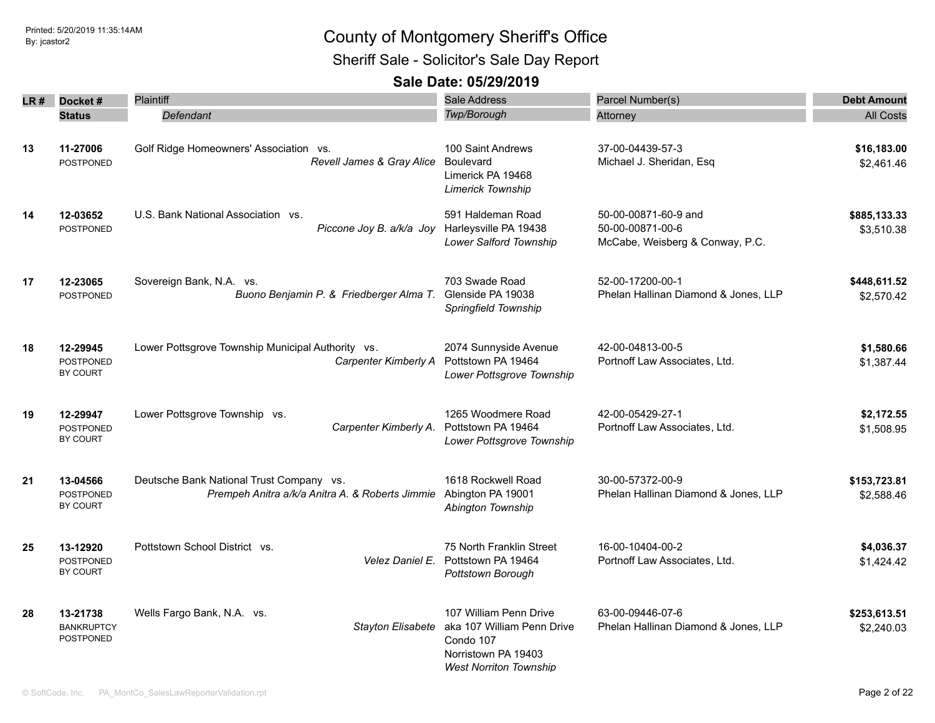### Printed: 5/20/2019 11:35:14AM By: jcastor2 County of Montgomery Sheriff's Office Sheriff Sale - Solicitor's Sale Day Report

| LR # | Docket#                                         | <b>Plaintiff</b>                                                                            | Sale Address                                                                                                                                | Parcel Number(s)                                                            | <b>Debt Amount</b>         |
|------|-------------------------------------------------|---------------------------------------------------------------------------------------------|---------------------------------------------------------------------------------------------------------------------------------------------|-----------------------------------------------------------------------------|----------------------------|
|      | <b>Status</b>                                   | Defendant                                                                                   | Twp/Borough                                                                                                                                 | Attorney                                                                    | <b>All Costs</b>           |
|      |                                                 |                                                                                             |                                                                                                                                             |                                                                             |                            |
| 13   | 11-27006<br>POSTPONED                           | Golf Ridge Homeowners' Association vs.<br>Revell James & Gray Alice                         | 100 Saint Andrews<br>Boulevard<br>Limerick PA 19468<br>Limerick Township                                                                    | 37-00-04439-57-3<br>Michael J. Sheridan, Esq                                | \$16,183.00<br>\$2,461.46  |
| 14   | 12-03652<br><b>POSTPONED</b>                    | U.S. Bank National Association vs.<br>Piccone Joy B. a/k/a Joy Harleysville PA 19438        | 591 Haldeman Road<br>Lower Salford Township                                                                                                 | 50-00-00871-60-9 and<br>50-00-00871-00-6<br>McCabe, Weisberg & Conway, P.C. | \$885,133.33<br>\$3,510.38 |
| 17   | 12-23065<br><b>POSTPONED</b>                    | Sovereign Bank, N.A. vs.<br>Buono Benjamin P. & Friedberger Alma T.                         | 703 Swade Road<br>Glenside PA 19038<br>Springfield Township                                                                                 | 52-00-17200-00-1<br>Phelan Hallinan Diamond & Jones, LLP                    | \$448,611.52<br>\$2,570.42 |
| 18   | 12-29945<br><b>POSTPONED</b><br>BY COURT        | Lower Pottsgrove Township Municipal Authority vs.<br>Carpenter Kimberly A                   | 2074 Sunnyside Avenue<br>Pottstown PA 19464<br>Lower Pottsgrove Township                                                                    | 42-00-04813-00-5<br>Portnoff Law Associates, Ltd.                           | \$1,580.66<br>\$1,387.44   |
| 19   | 12-29947<br><b>POSTPONED</b><br>BY COURT        | Lower Pottsgrove Township vs.<br>Carpenter Kimberly A.                                      | 1265 Woodmere Road<br>Pottstown PA 19464<br>Lower Pottsgrove Township                                                                       | 42-00-05429-27-1<br>Portnoff Law Associates, Ltd.                           | \$2,172.55<br>\$1,508.95   |
| 21   | 13-04566<br><b>POSTPONED</b><br>BY COURT        | Deutsche Bank National Trust Company vs.<br>Prempeh Anitra a/k/a Anitra A. & Roberts Jimmie | 1618 Rockwell Road<br>Abington PA 19001<br>Abington Township                                                                                | 30-00-57372-00-9<br>Phelan Hallinan Diamond & Jones, LLP                    | \$153,723.81<br>\$2,588.46 |
| 25   | 13-12920<br><b>POSTPONED</b><br><b>BY COURT</b> | Pottstown School District vs.<br>Velez Daniel E.                                            | 75 North Franklin Street<br>Pottstown PA 19464<br>Pottstown Borough                                                                         | 16-00-10404-00-2<br>Portnoff Law Associates, Ltd.                           | \$4.036.37<br>\$1,424.42   |
| 28   | 13-21738<br><b>BANKRUPTCY</b><br>POSTPONED      | Wells Fargo Bank, N.A. vs.                                                                  | 107 William Penn Drive<br>Stayton Elisabete aka 107 William Penn Drive<br>Condo 107<br>Norristown PA 19403<br><b>West Norriton Township</b> | 63-00-09446-07-6<br>Phelan Hallinan Diamond & Jones, LLP                    | \$253,613.51<br>\$2,240.03 |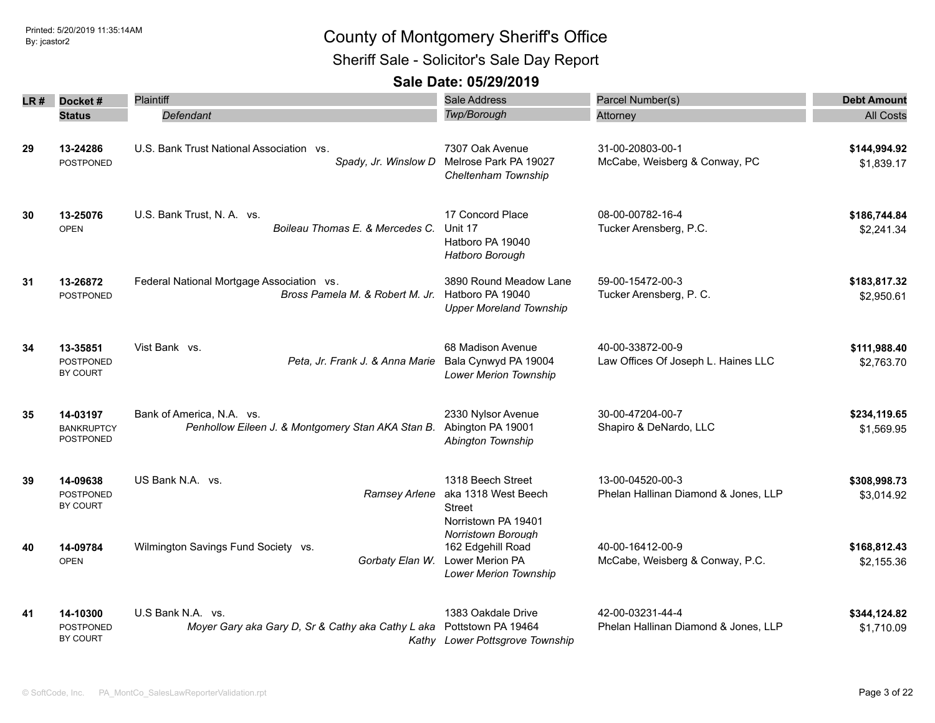Sheriff Sale - Solicitor's Sale Day Report

| LR # | Docket#                                    | Plaintiff                                                                      | <b>Sale Address</b>                                                                               | Parcel Number(s)                                         | <b>Debt Amount</b>         |
|------|--------------------------------------------|--------------------------------------------------------------------------------|---------------------------------------------------------------------------------------------------|----------------------------------------------------------|----------------------------|
|      | <b>Status</b>                              | Defendant                                                                      | Twp/Borough                                                                                       | Attorney                                                 | <b>All Costs</b>           |
| 29   | 13-24286<br><b>POSTPONED</b>               | U.S. Bank Trust National Association vs.<br>Spady, Jr. Winslow D               | 7307 Oak Avenue<br>Melrose Park PA 19027<br>Cheltenham Township                                   | 31-00-20803-00-1<br>McCabe, Weisberg & Conway, PC        | \$144,994.92<br>\$1,839.17 |
| 30   | 13-25076<br><b>OPEN</b>                    | U.S. Bank Trust, N. A. vs.<br>Boileau Thomas E. & Mercedes C.                  | 17 Concord Place<br>Unit 17<br>Hatboro PA 19040<br>Hatboro Borough                                | 08-00-00782-16-4<br>Tucker Arensberg, P.C.               | \$186,744.84<br>\$2,241.34 |
| 31   | 13-26872<br><b>POSTPONED</b>               | Federal National Mortgage Association vs.<br>Bross Pamela M. & Robert M. Jr.   | 3890 Round Meadow Lane<br>Hatboro PA 19040<br><b>Upper Moreland Township</b>                      | 59-00-15472-00-3<br>Tucker Arensberg, P. C.              | \$183,817.32<br>\$2,950.61 |
| 34   | 13-35851<br><b>POSTPONED</b><br>BY COURT   | Vist Bank vs.<br>Peta, Jr. Frank J. & Anna Marie                               | 68 Madison Avenue<br>Bala Cynwyd PA 19004<br><b>Lower Merion Township</b>                         | 40-00-33872-00-9<br>Law Offices Of Joseph L. Haines LLC  | \$111,988.40<br>\$2,763.70 |
| 35   | 14-03197<br><b>BANKRUPTCY</b><br>POSTPONED | Bank of America, N.A. vs.<br>Penhollow Eileen J. & Montgomery Stan AKA Stan B. | 2330 Nylsor Avenue<br>Abington PA 19001<br>Abington Township                                      | 30-00-47204-00-7<br>Shapiro & DeNardo, LLC               | \$234,119.65<br>\$1,569.95 |
| 39   | 14-09638<br>POSTPONED<br>BY COURT          | US Bank N.A. vs.<br>Ramsey Arlene                                              | 1318 Beech Street<br>aka 1318 West Beech<br><b>Street</b><br>Norristown PA 19401                  | 13-00-04520-00-3<br>Phelan Hallinan Diamond & Jones, LLP | \$308,998.73<br>\$3,014.92 |
| 40   | 14-09784<br><b>OPEN</b>                    | Wilmington Savings Fund Society vs.<br>Gorbaty Elan W.                         | Norristown Borough<br>162 Edgehill Road<br><b>Lower Merion PA</b><br><b>Lower Merion Township</b> | 40-00-16412-00-9<br>McCabe, Weisberg & Conway, P.C.      | \$168,812.43<br>\$2,155.36 |
| 41   | 14-10300<br><b>POSTPONED</b><br>BY COURT   | U.S Bank N.A. vs.<br>Moyer Gary aka Gary D, Sr & Cathy aka Cathy L aka         | 1383 Oakdale Drive<br>Pottstown PA 19464<br>Kathy Lower Pottsgrove Township                       | 42-00-03231-44-4<br>Phelan Hallinan Diamond & Jones, LLP | \$344,124.82<br>\$1,710.09 |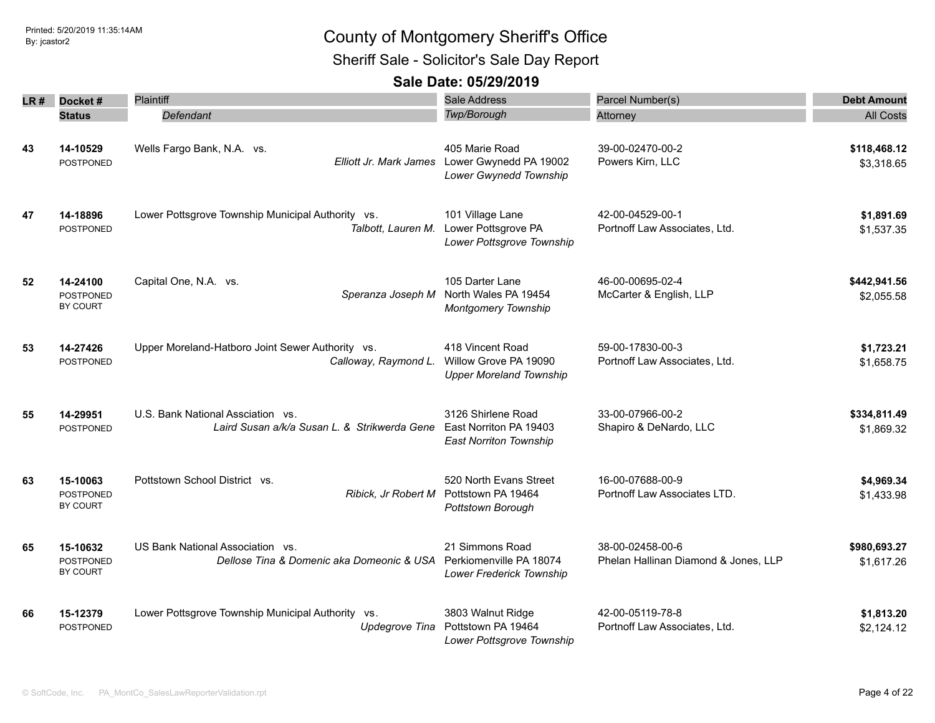Sheriff Sale - Solicitor's Sale Day Report

| LR # | Docket#                                  | Plaintiff                                                                         | <b>Sale Address</b>                                                                       | Parcel Number(s)                                         | <b>Debt Amount</b>         |
|------|------------------------------------------|-----------------------------------------------------------------------------------|-------------------------------------------------------------------------------------------|----------------------------------------------------------|----------------------------|
|      | <b>Status</b>                            | Defendant                                                                         | Twp/Borough                                                                               | Attorney                                                 | <b>All Costs</b>           |
| 43   | 14-10529<br><b>POSTPONED</b>             | Wells Fargo Bank, N.A. vs.                                                        | 405 Marie Road<br>Elliott Jr. Mark James Lower Gwynedd PA 19002<br>Lower Gwynedd Township | 39-00-02470-00-2<br>Powers Kirn, LLC                     | \$118,468.12<br>\$3,318.65 |
| 47   | 14-18896<br><b>POSTPONED</b>             | Lower Pottsgrove Township Municipal Authority vs.<br>Talbott, Lauren M.           | 101 Village Lane<br>Lower Pottsgrove PA<br>Lower Pottsgrove Township                      | 42-00-04529-00-1<br>Portnoff Law Associates, Ltd.        | \$1,891.69<br>\$1,537.35   |
| 52   | 14-24100<br><b>POSTPONED</b><br>BY COURT | Capital One, N.A. vs.<br>Speranza Joseph M                                        | 105 Darter Lane<br>North Wales PA 19454<br><b>Montgomery Township</b>                     | 46-00-00695-02-4<br>McCarter & English, LLP              | \$442,941.56<br>\$2,055.58 |
| 53   | 14-27426<br>POSTPONED                    | Upper Moreland-Hatboro Joint Sewer Authority vs.<br>Calloway, Raymond L.          | 418 Vincent Road<br>Willow Grove PA 19090<br><b>Upper Moreland Township</b>               | 59-00-17830-00-3<br>Portnoff Law Associates, Ltd.        | \$1,723.21<br>\$1,658.75   |
| 55   | 14-29951<br><b>POSTPONED</b>             | U.S. Bank National Assciation vs.<br>Laird Susan a/k/a Susan L. & Strikwerda Gene | 3126 Shirlene Road<br>East Norriton PA 19403<br><b>East Norriton Township</b>             | 33-00-07966-00-2<br>Shapiro & DeNardo, LLC               | \$334,811.49<br>\$1,869.32 |
| 63   | 15-10063<br><b>POSTPONED</b><br>BY COURT | Pottstown School District vs.<br>Ribick, Jr Robert M                              | 520 North Evans Street<br>Pottstown PA 19464<br>Pottstown Borough                         | 16-00-07688-00-9<br>Portnoff Law Associates LTD.         | \$4,969.34<br>\$1,433.98   |
| 65   | 15-10632<br><b>POSTPONED</b><br>BY COURT | US Bank National Association vs.<br>Dellose Tina & Domenic aka Domeonic & USA     | 21 Simmons Road<br>Perkiomenville PA 18074<br>Lower Frederick Township                    | 38-00-02458-00-6<br>Phelan Hallinan Diamond & Jones, LLP | \$980,693.27<br>\$1,617.26 |
| 66   | 15-12379<br><b>POSTPONED</b>             | Lower Pottsgrove Township Municipal Authority vs.<br>Updegrove Tina               | 3803 Walnut Ridge<br>Pottstown PA 19464<br>Lower Pottsgrove Township                      | 42-00-05119-78-8<br>Portnoff Law Associates, Ltd.        | \$1,813.20<br>\$2,124.12   |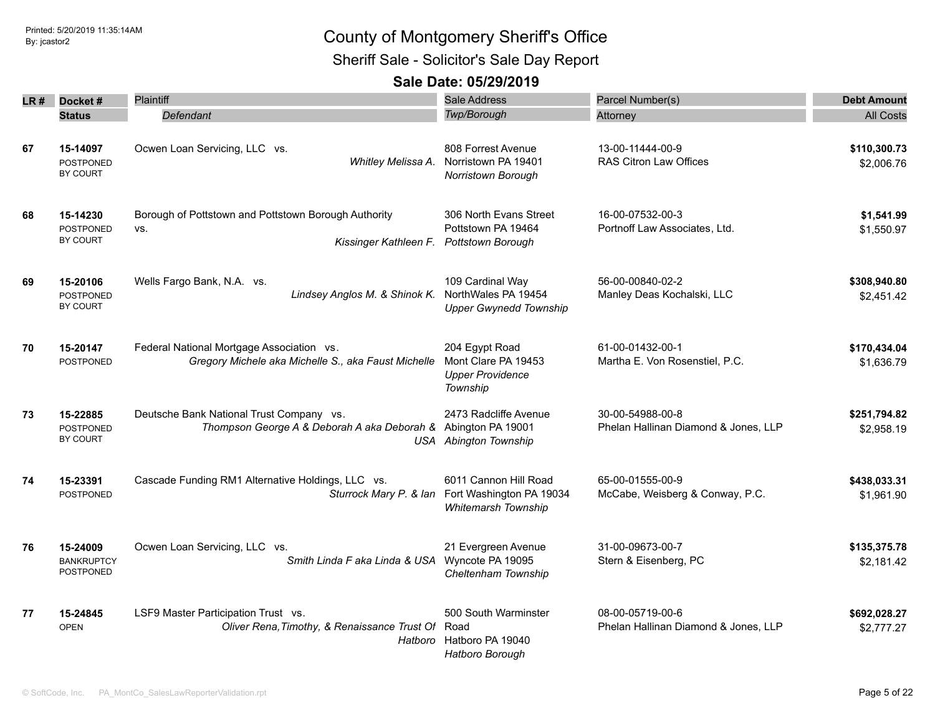Sheriff Sale - Solicitor's Sale Day Report

| LR # | Docket#                                         | <b>Plaintiff</b>                                                                                          | <b>Sale Address</b>                                                             | Parcel Number(s)                                         | <b>Debt Amount</b>         |
|------|-------------------------------------------------|-----------------------------------------------------------------------------------------------------------|---------------------------------------------------------------------------------|----------------------------------------------------------|----------------------------|
|      | <b>Status</b>                                   | Defendant                                                                                                 | Twp/Borough                                                                     | Attorney                                                 | <b>All Costs</b>           |
| 67   | 15-14097<br><b>POSTPONED</b><br>BY COURT        | Ocwen Loan Servicing, LLC vs.<br>Whitley Melissa A.                                                       | 808 Forrest Avenue<br>Norristown PA 19401<br>Norristown Borough                 | 13-00-11444-00-9<br><b>RAS Citron Law Offices</b>        | \$110,300.73<br>\$2,006.76 |
| 68   | 15-14230<br><b>POSTPONED</b><br>BY COURT        | Borough of Pottstown and Pottstown Borough Authority<br>VS.<br>Kissinger Kathleen F.                      | 306 North Evans Street<br>Pottstown PA 19464<br><b>Pottstown Borough</b>        | 16-00-07532-00-3<br>Portnoff Law Associates, Ltd.        | \$1,541.99<br>\$1,550.97   |
| 69   | 15-20106<br>POSTPONED<br>BY COURT               | Wells Fargo Bank, N.A. vs.<br>Lindsey Anglos M. & Shinok K.                                               | 109 Cardinal Way<br>NorthWales PA 19454<br><b>Upper Gwynedd Township</b>        | 56-00-00840-02-2<br>Manley Deas Kochalski, LLC           | \$308,940.80<br>\$2,451.42 |
| 70   | 15-20147<br>POSTPONED                           | Federal National Mortgage Association vs.<br>Gregory Michele aka Michelle S., aka Faust Michelle          | 204 Egypt Road<br>Mont Clare PA 19453<br><b>Upper Providence</b><br>Township    | 61-00-01432-00-1<br>Martha E. Von Rosenstiel, P.C.       | \$170,434.04<br>\$1,636.79 |
| 73   | 15-22885<br><b>POSTPONED</b><br><b>BY COURT</b> | Deutsche Bank National Trust Company vs.<br>Thompson George A & Deborah A aka Deborah & Abington PA 19001 | 2473 Radcliffe Avenue<br><b>USA</b> Abington Township                           | 30-00-54988-00-8<br>Phelan Hallinan Diamond & Jones, LLP | \$251,794.82<br>\$2,958.19 |
| 74   | 15-23391<br><b>POSTPONED</b>                    | Cascade Funding RM1 Alternative Holdings, LLC vs.<br>Sturrock Mary P. & Ian                               | 6011 Cannon Hill Road<br>Fort Washington PA 19034<br><b>Whitemarsh Township</b> | 65-00-01555-00-9<br>McCabe, Weisberg & Conway, P.C.      | \$438,033.31<br>\$1,961.90 |
| 76   | 15-24009<br><b>BANKRUPTCY</b><br>POSTPONED      | Ocwen Loan Servicing, LLC vs.<br>Smith Linda F aka Linda & USA Wyncote PA 19095                           | 21 Evergreen Avenue<br>Cheltenham Township                                      | 31-00-09673-00-7<br>Stern & Eisenberg, PC                | \$135,375.78<br>\$2,181.42 |
| 77   | 15-24845<br><b>OPEN</b>                         | LSF9 Master Participation Trust vs.<br>Oliver Rena, Timothy, & Renaissance Trust Of<br>Hatboro            | 500 South Warminster<br>Road<br>Hatboro PA 19040<br>Hatboro Borough             | 08-00-05719-00-6<br>Phelan Hallinan Diamond & Jones, LLP | \$692,028.27<br>\$2,777.27 |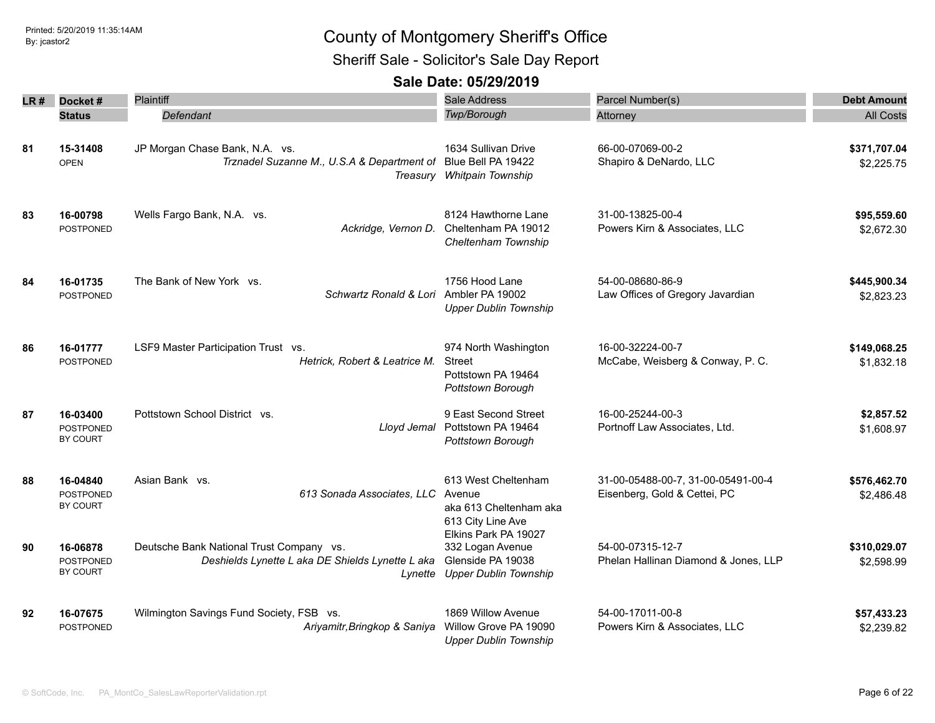Sheriff Sale - Solicitor's Sale Day Report

| LR # | Docket#                                  | Plaintiff                                                                                               | <b>Sale Address</b>                                                                           | Parcel Number(s)                                                   | <b>Debt Amount</b>         |
|------|------------------------------------------|---------------------------------------------------------------------------------------------------------|-----------------------------------------------------------------------------------------------|--------------------------------------------------------------------|----------------------------|
|      | <b>Status</b>                            | Defendant                                                                                               | <b>Twp/Borough</b>                                                                            | Attorney                                                           | <b>All Costs</b>           |
| 81   | 15-31408<br><b>OPEN</b>                  | JP Morgan Chase Bank, N.A. vs.<br>Trznadel Suzanne M., U.S.A & Department of                            | 1634 Sullivan Drive<br>Blue Bell PA 19422<br>Treasury Whitpain Township                       | 66-00-07069-00-2<br>Shapiro & DeNardo, LLC                         | \$371,707.04<br>\$2,225.75 |
| 83   | 16-00798<br><b>POSTPONED</b>             | Wells Fargo Bank, N.A. vs.                                                                              | 8124 Hawthorne Lane<br>Ackridge, Vernon D. Cheltenham PA 19012<br>Cheltenham Township         | 31-00-13825-00-4<br>Powers Kirn & Associates, LLC                  | \$95,559.60<br>\$2,672.30  |
| 84   | 16-01735<br><b>POSTPONED</b>             | The Bank of New York vs.<br>Schwartz Ronald & Lori Ambler PA 19002                                      | 1756 Hood Lane<br><b>Upper Dublin Township</b>                                                | 54-00-08680-86-9<br>Law Offices of Gregory Javardian               | \$445,900.34<br>\$2,823.23 |
| 86   | 16-01777<br><b>POSTPONED</b>             | LSF9 Master Participation Trust vs.<br>Hetrick, Robert & Leatrice M.                                    | 974 North Washington<br><b>Street</b><br>Pottstown PA 19464<br>Pottstown Borough              | 16-00-32224-00-7<br>McCabe, Weisberg & Conway, P. C.               | \$149,068.25<br>\$1,832.18 |
| 87   | 16-03400<br>POSTPONED<br>BY COURT        | Pottstown School District vs.<br>Lloyd Jemal                                                            | 9 East Second Street<br>Pottstown PA 19464<br>Pottstown Borough                               | 16-00-25244-00-3<br>Portnoff Law Associates, Ltd.                  | \$2,857.52<br>\$1,608.97   |
| 88   | 16-04840<br><b>POSTPONED</b><br>BY COURT | Asian Bank vs.<br>613 Sonada Associates, LLC                                                            | 613 West Cheltenham<br>Avenue<br>aka 613 Cheltenham aka<br>613 City Line Ave                  | 31-00-05488-00-7, 31-00-05491-00-4<br>Eisenberg, Gold & Cettei, PC | \$576,462.70<br>\$2,486.48 |
| 90   | 16-06878<br><b>POSTPONED</b><br>BY COURT | Deutsche Bank National Trust Company vs.<br>Deshields Lynette L aka DE Shields Lynette L aka<br>Lynette | Elkins Park PA 19027<br>332 Logan Avenue<br>Glenside PA 19038<br><b>Upper Dublin Township</b> | 54-00-07315-12-7<br>Phelan Hallinan Diamond & Jones, LLP           | \$310,029.07<br>\$2,598.99 |
| 92   | 16-07675<br>POSTPONED                    | Wilmington Savings Fund Society, FSB vs.<br>Ariyamitr, Bringkop & Saniya                                | 1869 Willow Avenue<br>Willow Grove PA 19090<br><b>Upper Dublin Township</b>                   | 54-00-17011-00-8<br>Powers Kirn & Associates, LLC                  | \$57,433.23<br>\$2,239.82  |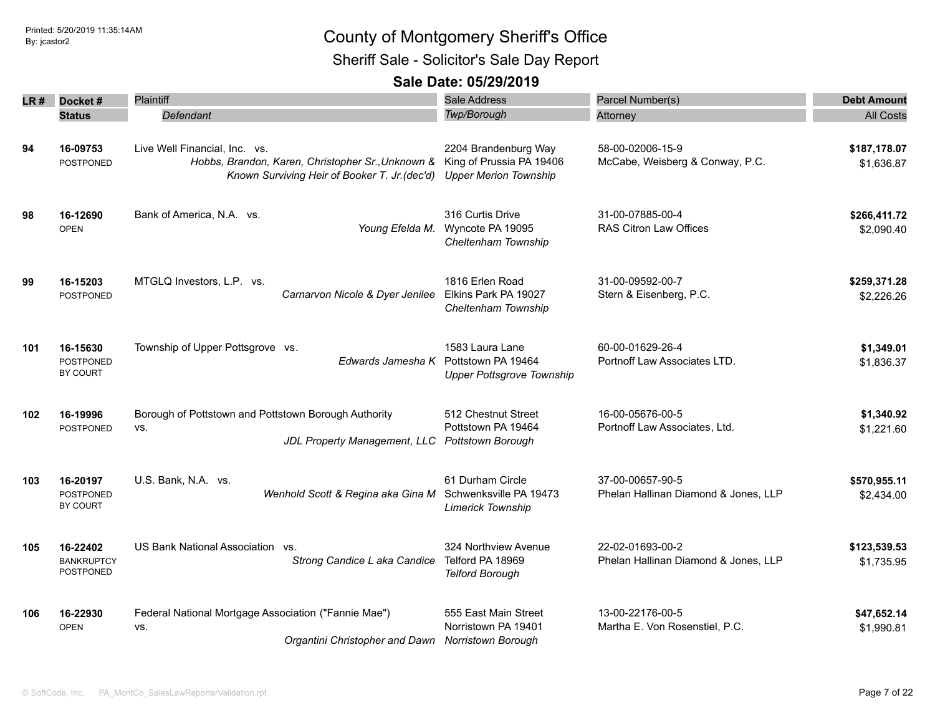Sheriff Sale - Solicitor's Sale Day Report

| LR# | Docket#                                         | <b>Plaintiff</b>                                                                                                                    | <b>Sale Address</b>                                                              | Parcel Number(s)                                         | <b>Debt Amount</b>         |
|-----|-------------------------------------------------|-------------------------------------------------------------------------------------------------------------------------------------|----------------------------------------------------------------------------------|----------------------------------------------------------|----------------------------|
|     | <b>Status</b>                                   | Defendant                                                                                                                           | <b>Twp/Borough</b>                                                               | Attorney                                                 | <b>All Costs</b>           |
| 94  | 16-09753<br><b>POSTPONED</b>                    | Live Well Financial, Inc. vs.<br>Hobbs, Brandon, Karen, Christopher Sr., Unknown &<br>Known Surviving Heir of Booker T. Jr. (dec'd) | 2204 Brandenburg Way<br>King of Prussia PA 19406<br><b>Upper Merion Township</b> | 58-00-02006-15-9<br>McCabe, Weisberg & Conway, P.C.      | \$187,178.07<br>\$1,636.87 |
| 98  | 16-12690<br><b>OPEN</b>                         | Bank of America, N.A. vs.<br>Young Efelda M.                                                                                        | 316 Curtis Drive<br>Wyncote PA 19095<br>Cheltenham Township                      | 31-00-07885-00-4<br>RAS Citron Law Offices               | \$266,411.72<br>\$2,090.40 |
| 99  | 16-15203<br><b>POSTPONED</b>                    | MTGLQ Investors, L.P. vs.<br>Carnarvon Nicole & Dyer Jenilee                                                                        | 1816 Erlen Road<br>Elkins Park PA 19027<br>Cheltenham Township                   | 31-00-09592-00-7<br>Stern & Eisenberg, P.C.              | \$259,371.28<br>\$2,226.26 |
| 101 | 16-15630<br><b>POSTPONED</b><br><b>BY COURT</b> | Township of Upper Pottsgrove vs.<br>Edwards Jamesha K                                                                               | 1583 Laura Lane<br>Pottstown PA 19464<br><b>Upper Pottsgrove Township</b>        | 60-00-01629-26-4<br>Portnoff Law Associates LTD.         | \$1,349.01<br>\$1,836.37   |
| 102 | 16-19996<br><b>POSTPONED</b>                    | Borough of Pottstown and Pottstown Borough Authority<br>VS.<br>JDL Property Management, LLC                                         | 512 Chestnut Street<br>Pottstown PA 19464<br><b>Pottstown Borough</b>            | 16-00-05676-00-5<br>Portnoff Law Associates, Ltd.        | \$1,340.92<br>\$1,221.60   |
| 103 | 16-20197<br><b>POSTPONED</b><br><b>BY COURT</b> | U.S. Bank, N.A. vs.<br>Wenhold Scott & Regina aka Gina M                                                                            | 61 Durham Circle<br>Schwenksville PA 19473<br>Limerick Township                  | 37-00-00657-90-5<br>Phelan Hallinan Diamond & Jones, LLP | \$570,955.11<br>\$2,434.00 |
| 105 | 16-22402<br><b>BANKRUPTCY</b><br>POSTPONED      | US Bank National Association vs.<br>Strong Candice L aka Candice                                                                    | 324 Northview Avenue<br>Telford PA 18969<br><b>Telford Borough</b>               | 22-02-01693-00-2<br>Phelan Hallinan Diamond & Jones, LLP | \$123,539.53<br>\$1,735.95 |
| 106 | 16-22930<br><b>OPEN</b>                         | Federal National Mortgage Association ("Fannie Mae")<br>VS.<br>Organtini Christopher and Dawn                                       | 555 East Main Street<br>Norristown PA 19401<br><b>Norristown Borough</b>         | 13-00-22176-00-5<br>Martha E. Von Rosenstiel, P.C.       | \$47,652.14<br>\$1,990.81  |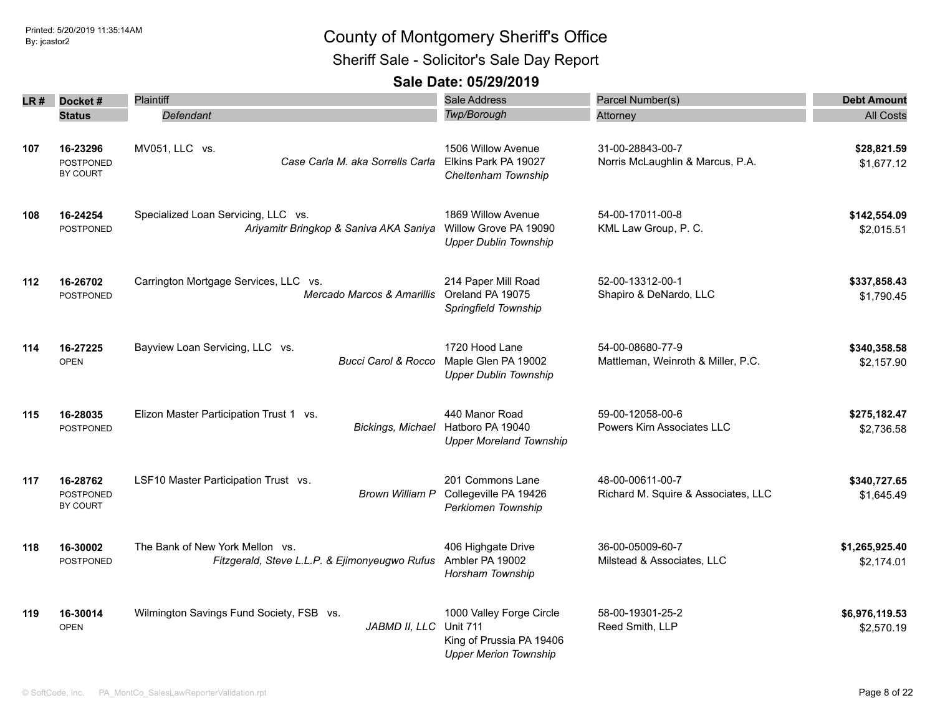Sheriff Sale - Solicitor's Sale Day Report

| LR # | Docket#                                  | <b>Plaintiff</b>                                                                 | Sale Address                                                                                            | Parcel Number(s)                                        | <b>Debt Amount</b>           |
|------|------------------------------------------|----------------------------------------------------------------------------------|---------------------------------------------------------------------------------------------------------|---------------------------------------------------------|------------------------------|
|      | <b>Status</b>                            | Defendant                                                                        | Twp/Borough                                                                                             | Attorney                                                | <b>All Costs</b>             |
| 107  | 16-23296<br><b>POSTPONED</b><br>BY COURT | MV051, LLC vs.<br>Case Carla M. aka Sorrells Carla                               | 1506 Willow Avenue<br>Elkins Park PA 19027<br>Cheltenham Township                                       | 31-00-28843-00-7<br>Norris McLaughlin & Marcus, P.A.    | \$28,821.59<br>\$1,677.12    |
| 108  | 16-24254<br><b>POSTPONED</b>             | Specialized Loan Servicing, LLC vs.<br>Ariyamitr Bringkop & Saniva AKA Saniya    | 1869 Willow Avenue<br>Willow Grove PA 19090<br><b>Upper Dublin Township</b>                             | 54-00-17011-00-8<br>KML Law Group, P. C.                | \$142,554.09<br>\$2,015.51   |
| 112  | 16-26702<br><b>POSTPONED</b>             | Carrington Mortgage Services, LLC vs.<br>Mercado Marcos & Amarillis              | 214 Paper Mill Road<br>Oreland PA 19075<br>Springfield Township                                         | 52-00-13312-00-1<br>Shapiro & DeNardo, LLC              | \$337,858.43<br>\$1.790.45   |
| 114  | 16-27225<br><b>OPEN</b>                  | Bayview Loan Servicing, LLC vs.<br><b>Bucci Carol &amp; Rocco</b>                | 1720 Hood Lane<br>Maple Glen PA 19002<br><b>Upper Dublin Township</b>                                   | 54-00-08680-77-9<br>Mattleman, Weinroth & Miller, P.C.  | \$340,358.58<br>\$2,157.90   |
| 115  | 16-28035<br><b>POSTPONED</b>             | Elizon Master Participation Trust 1 vs.<br>Bickings, Michael                     | 440 Manor Road<br>Hatboro PA 19040<br><b>Upper Moreland Township</b>                                    | 59-00-12058-00-6<br>Powers Kirn Associates LLC          | \$275,182.47<br>\$2,736.58   |
| 117  | 16-28762<br>POSTPONED<br>BY COURT        | LSF10 Master Participation Trust vs.                                             | 201 Commons Lane<br>Brown William P Collegeville PA 19426<br>Perkiomen Township                         | 48-00-00611-00-7<br>Richard M. Squire & Associates, LLC | \$340,727.65<br>\$1,645.49   |
| 118  | 16-30002<br><b>POSTPONED</b>             | The Bank of New York Mellon vs.<br>Fitzgerald, Steve L.L.P. & Ejimonyeugwo Rufus | 406 Highgate Drive<br>Ambler PA 19002<br>Horsham Township                                               | 36-00-05009-60-7<br>Milstead & Associates, LLC          | \$1,265,925.40<br>\$2,174.01 |
| 119  | 16-30014<br><b>OPEN</b>                  | Wilmington Savings Fund Society, FSB vs.<br>JABMD II, LLC                        | 1000 Valley Forge Circle<br><b>Unit 711</b><br>King of Prussia PA 19406<br><b>Upper Merion Township</b> | 58-00-19301-25-2<br>Reed Smith, LLP                     | \$6,976,119.53<br>\$2,570.19 |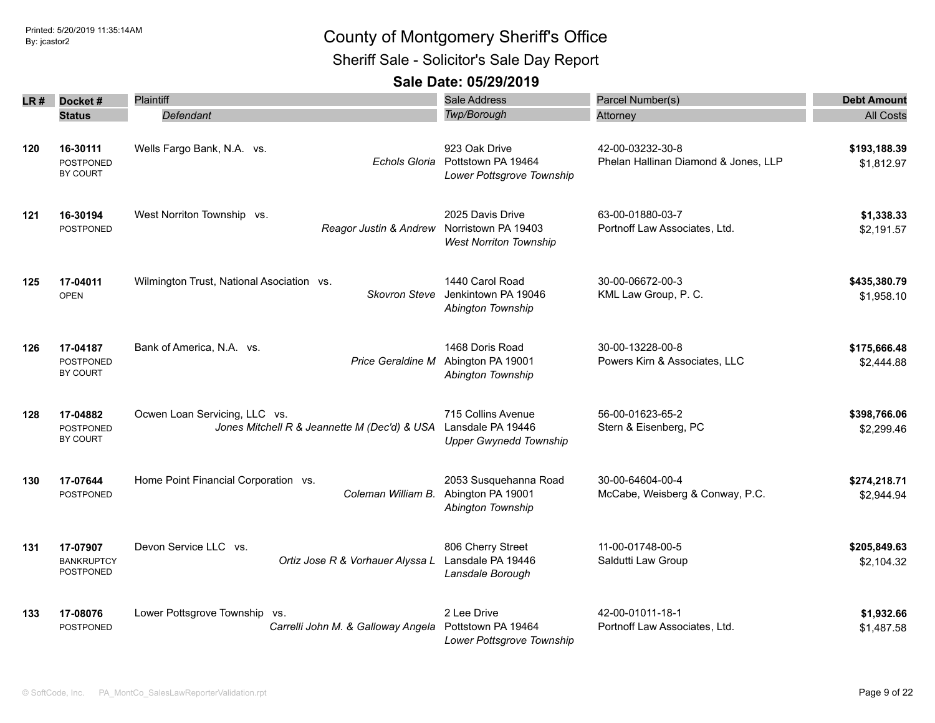Sheriff Sale - Solicitor's Sale Day Report

| LR # | Docket#                                           | Plaintiff                                                                     | Sale Address                                                             | Parcel Number(s)                                         | <b>Debt Amount</b>         |
|------|---------------------------------------------------|-------------------------------------------------------------------------------|--------------------------------------------------------------------------|----------------------------------------------------------|----------------------------|
|      | <b>Status</b>                                     | Defendant                                                                     | <b>Twp/Borough</b>                                                       | Attorney                                                 | <b>All Costs</b>           |
| 120  | 16-30111<br><b>POSTPONED</b><br>BY COURT          | Wells Fargo Bank, N.A. vs.<br>Echols Gloria                                   | 923 Oak Drive<br>Pottstown PA 19464<br>Lower Pottsgrove Township         | 42-00-03232-30-8<br>Phelan Hallinan Diamond & Jones, LLP | \$193,188.39<br>\$1,812.97 |
| 121  | 16-30194<br><b>POSTPONED</b>                      | West Norriton Township vs.<br>Reagor Justin & Andrew Norristown PA 19403      | 2025 Davis Drive<br><b>West Norriton Township</b>                        | 63-00-01880-03-7<br>Portnoff Law Associates, Ltd.        | \$1,338.33<br>\$2,191.57   |
| 125  | 17-04011<br><b>OPEN</b>                           | Wilmington Trust, National Asociation vs.<br><b>Skovron Steve</b>             | 1440 Carol Road<br>Jenkintown PA 19046<br>Abington Township              | 30-00-06672-00-3<br>KML Law Group, P. C.                 | \$435,380.79<br>\$1,958.10 |
| 126  | 17-04187<br><b>POSTPONED</b><br>BY COURT          | Bank of America, N.A. vs.<br><b>Price Geraldine M</b>                         | 1468 Doris Road<br>Abington PA 19001<br>Abington Township                | 30-00-13228-00-8<br>Powers Kirn & Associates, LLC        | \$175,666.48<br>\$2,444.88 |
| 128  | 17-04882<br><b>POSTPONED</b><br>BY COURT          | Ocwen Loan Servicing, LLC vs.<br>Jones Mitchell R & Jeannette M (Dec'd) & USA | 715 Collins Avenue<br>Lansdale PA 19446<br><b>Upper Gwynedd Township</b> | 56-00-01623-65-2<br>Stern & Eisenberg, PC                | \$398,766.06<br>\$2,299.46 |
| 130  | 17-07644<br>POSTPONED                             | Home Point Financial Corporation vs.<br>Coleman William B.                    | 2053 Susquehanna Road<br>Abington PA 19001<br>Abington Township          | 30-00-64604-00-4<br>McCabe, Weisberg & Conway, P.C.      | \$274,218.71<br>\$2,944.94 |
| 131  | 17-07907<br><b>BANKRUPTCY</b><br><b>POSTPONED</b> | Devon Service LLC vs.<br>Ortiz Jose R & Vorhauer Alyssa L                     | 806 Cherry Street<br>Lansdale PA 19446<br>Lansdale Borough               | 11-00-01748-00-5<br>Saldutti Law Group                   | \$205,849.63<br>\$2,104.32 |
| 133  | 17-08076<br><b>POSTPONED</b>                      | Lower Pottsgrove Township vs.<br>Carrelli John M. & Galloway Angela           | 2 Lee Drive<br>Pottstown PA 19464<br>Lower Pottsgrove Township           | 42-00-01011-18-1<br>Portnoff Law Associates, Ltd.        | \$1,932.66<br>\$1,487.58   |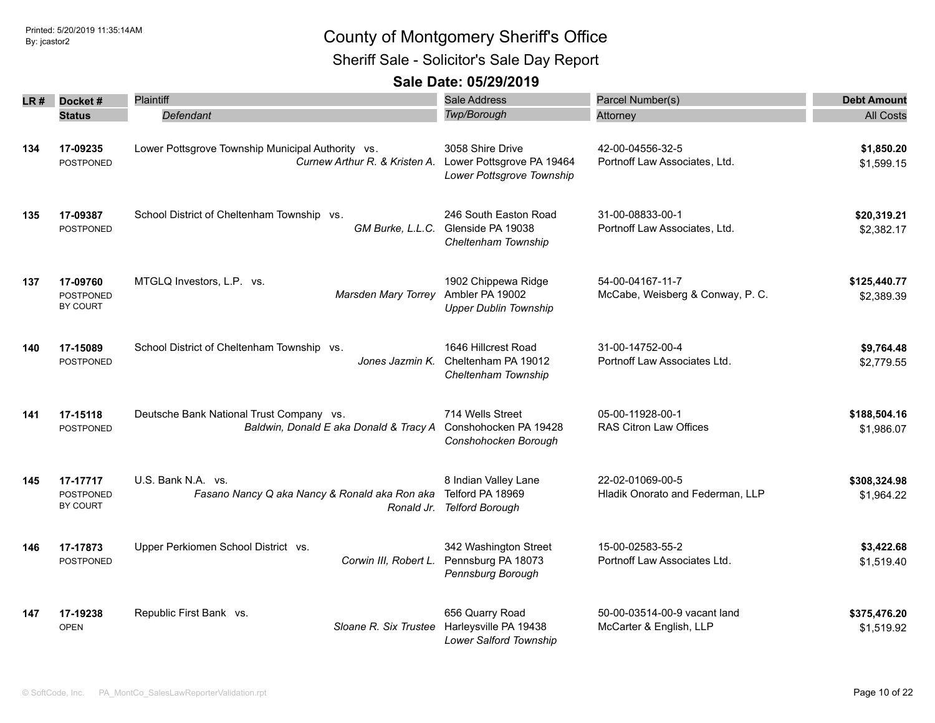Sheriff Sale - Solicitor's Sale Day Report

| LR # | Docket#                                         | Plaintiff                                                                          | Sale Address                                                                                    | Parcel Number(s)                                        | <b>Debt Amount</b>         |
|------|-------------------------------------------------|------------------------------------------------------------------------------------|-------------------------------------------------------------------------------------------------|---------------------------------------------------------|----------------------------|
|      | <b>Status</b>                                   | Defendant                                                                          | Twp/Borough                                                                                     | Attorney                                                | <b>All Costs</b>           |
| 134  | 17-09235<br><b>POSTPONED</b>                    | Lower Pottsgrove Township Municipal Authority vs.<br>Curnew Arthur R. & Kristen A. | 3058 Shire Drive<br>Lower Pottsgrove PA 19464<br>Lower Pottsgrove Township                      | 42-00-04556-32-5<br>Portnoff Law Associates, Ltd.       | \$1,850.20<br>\$1,599.15   |
| 135  | 17-09387<br>POSTPONED                           | School District of Cheltenham Township vs.                                         | 246 South Easton Road<br>GM Burke, L.L.C. Glenside PA 19038<br>Cheltenham Township              | 31-00-08833-00-1<br>Portnoff Law Associates, Ltd.       | \$20,319.21<br>\$2,382.17  |
| 137  | 17-09760<br><b>POSTPONED</b><br>BY COURT        | MTGLQ Investors, L.P. vs.<br>Marsden Mary Torrey                                   | 1902 Chippewa Ridge<br>Ambler PA 19002<br><b>Upper Dublin Township</b>                          | 54-00-04167-11-7<br>McCabe, Weisberg & Conway, P. C.    | \$125,440.77<br>\$2,389.39 |
| 140  | 17-15089<br>POSTPONED                           | School District of Cheltenham Township vs.<br>Jones Jazmin K.                      | 1646 Hillcrest Road<br>Cheltenham PA 19012<br>Cheltenham Township                               | 31-00-14752-00-4<br>Portnoff Law Associates Ltd.        | \$9,764.48<br>\$2,779.55   |
| 141  | 17-15118<br><b>POSTPONED</b>                    | Deutsche Bank National Trust Company vs.<br>Baldwin, Donald E aka Donald & Tracy A | 714 Wells Street<br>Conshohocken PA 19428<br>Conshohocken Borough                               | 05-00-11928-00-1<br>RAS Citron Law Offices              | \$188,504.16<br>\$1,986.07 |
| 145  | 17-17717<br><b>POSTPONED</b><br><b>BY COURT</b> | U.S. Bank N.A. vs.<br>Fasano Nancy Q aka Nancy & Ronald aka Ron aka<br>Ronald Jr.  | 8 Indian Valley Lane<br>Telford PA 18969<br><b>Telford Borough</b>                              | 22-02-01069-00-5<br>Hladik Onorato and Federman, LLP    | \$308,324.98<br>\$1,964.22 |
| 146  | 17-17873<br>POSTPONED                           | Upper Perkiomen School District vs.<br>Corwin III, Robert L.                       | 342 Washington Street<br>Pennsburg PA 18073<br>Pennsburg Borough                                | 15-00-02583-55-2<br>Portnoff Law Associates Ltd.        | \$3,422.68<br>\$1,519.40   |
| 147  | 17-19238<br><b>OPEN</b>                         | Republic First Bank vs.                                                            | 656 Quarry Road<br>Sloane R. Six Trustee Harleysville PA 19438<br><b>Lower Salford Township</b> | 50-00-03514-00-9 vacant land<br>McCarter & English, LLP | \$375,476.20<br>\$1,519.92 |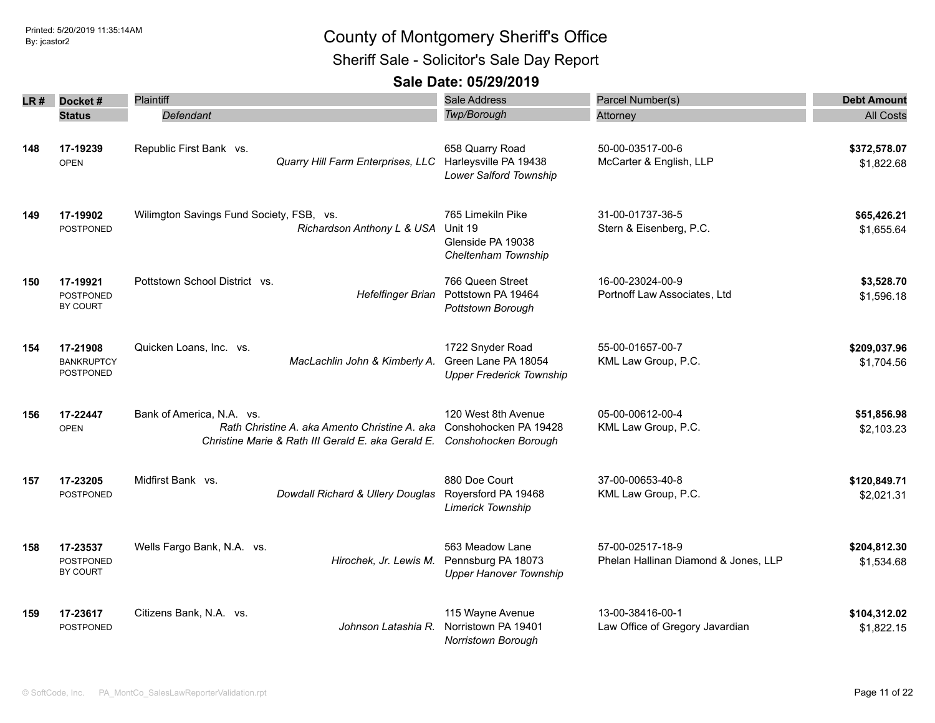Sheriff Sale - Solicitor's Sale Day Report

| LR # | Docket#                                           | Plaintiff                                                                                                                        | <b>Sale Address</b>                                                        | Parcel Number(s)                                         | <b>Debt Amount</b>         |
|------|---------------------------------------------------|----------------------------------------------------------------------------------------------------------------------------------|----------------------------------------------------------------------------|----------------------------------------------------------|----------------------------|
|      | <b>Status</b>                                     | Defendant                                                                                                                        | Twp/Borough                                                                | Attorney                                                 | <b>All Costs</b>           |
| 148  | 17-19239<br><b>OPEN</b>                           | Republic First Bank vs.<br>Quarry Hill Farm Enterprises, LLC                                                                     | 658 Quarry Road<br>Harleysville PA 19438<br>Lower Salford Township         | 50-00-03517-00-6<br>McCarter & English, LLP              | \$372,578.07<br>\$1,822.68 |
| 149  | 17-19902<br><b>POSTPONED</b>                      | Wilimgton Savings Fund Society, FSB, vs.<br>Richardson Anthony L & USA                                                           | 765 Limekiln Pike<br>Unit 19<br>Glenside PA 19038<br>Cheltenham Township   | 31-00-01737-36-5<br>Stern & Eisenberg, P.C.              | \$65,426.21<br>\$1,655.64  |
| 150  | 17-19921<br><b>POSTPONED</b><br>BY COURT          | Pottstown School District vs.<br><b>Hefelfinger Brian</b>                                                                        | 766 Queen Street<br>Pottstown PA 19464<br>Pottstown Borough                | 16-00-23024-00-9<br>Portnoff Law Associates, Ltd         | \$3,528.70<br>\$1,596.18   |
| 154  | 17-21908<br><b>BANKRUPTCY</b><br><b>POSTPONED</b> | Quicken Loans, Inc. vs.<br>MacLachlin John & Kimberly A.                                                                         | 1722 Snyder Road<br>Green Lane PA 18054<br><b>Upper Frederick Township</b> | 55-00-01657-00-7<br>KML Law Group, P.C.                  | \$209,037.96<br>\$1,704.56 |
| 156  | 17-22447<br><b>OPEN</b>                           | Bank of America, N.A. vs.<br>Rath Christine A, aka Amento Christine A, aka<br>Christine Marie & Rath III Gerald E. aka Gerald E. | 120 West 8th Avenue<br>Conshohocken PA 19428<br>Conshohocken Borough       | 05-00-00612-00-4<br>KML Law Group, P.C.                  | \$51,856.98<br>\$2,103.23  |
| 157  | 17-23205<br>POSTPONED                             | Midfirst Bank vs.<br>Dowdall Richard & Ullery Douglas                                                                            | 880 Doe Court<br>Royersford PA 19468<br>Limerick Township                  | 37-00-00653-40-8<br>KML Law Group, P.C.                  | \$120,849.71<br>\$2,021.31 |
| 158  | 17-23537<br><b>POSTPONED</b><br>BY COURT          | Wells Fargo Bank, N.A. vs.<br>Hirochek, Jr. Lewis M.                                                                             | 563 Meadow Lane<br>Pennsburg PA 18073<br><b>Upper Hanover Township</b>     | 57-00-02517-18-9<br>Phelan Hallinan Diamond & Jones, LLP | \$204,812.30<br>\$1,534.68 |
| 159  | 17-23617<br><b>POSTPONED</b>                      | Citizens Bank, N.A. vs.<br>Johnson Latashia R.                                                                                   | 115 Wayne Avenue<br>Norristown PA 19401<br>Norristown Borough              | 13-00-38416-00-1<br>Law Office of Gregory Javardian      | \$104,312.02<br>\$1,822.15 |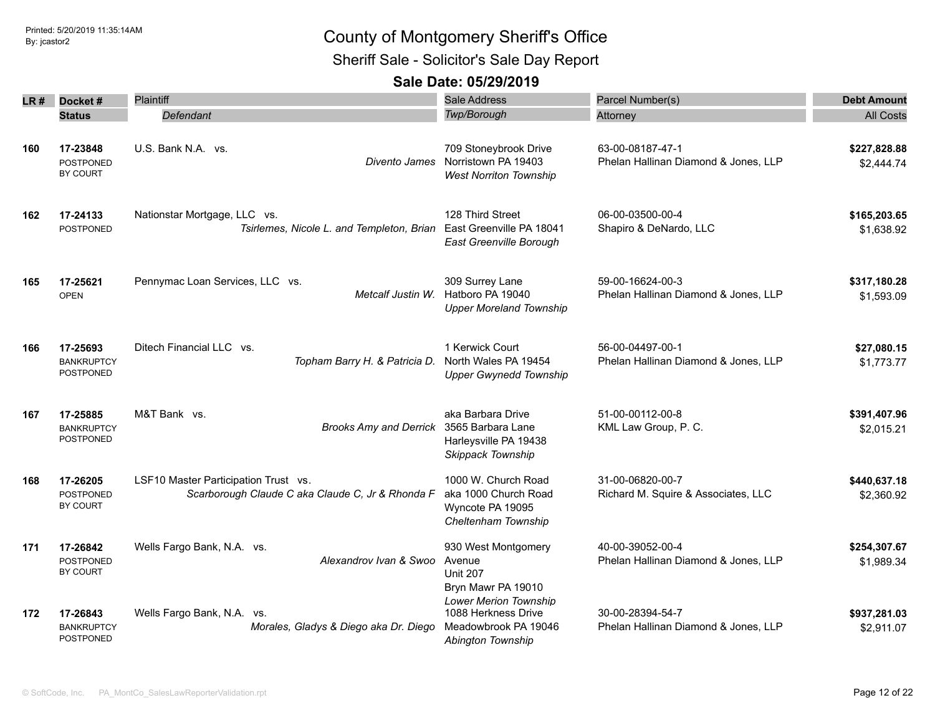Sheriff Sale - Solicitor's Sale Day Report

| LR # | Docket#                                         | Plaintiff                                                                                | Sale Address                                                                                           | Parcel Number(s)                                         | <b>Debt Amount</b>         |
|------|-------------------------------------------------|------------------------------------------------------------------------------------------|--------------------------------------------------------------------------------------------------------|----------------------------------------------------------|----------------------------|
|      | <b>Status</b>                                   | Defendant                                                                                | <b>Twp/Borough</b>                                                                                     | Attorney                                                 | <b>All Costs</b>           |
| 160  | 17-23848<br><b>POSTPONED</b><br>BY COURT        | U.S. Bank N.A. vs.<br>Divento James                                                      | 709 Stoneybrook Drive<br>Norristown PA 19403<br><b>West Norriton Township</b>                          | 63-00-08187-47-1<br>Phelan Hallinan Diamond & Jones, LLP | \$227,828.88<br>\$2,444.74 |
| 162  | 17-24133<br><b>POSTPONED</b>                    | Nationstar Mortgage, LLC vs.<br>Tsirlemes, Nicole L. and Templeton, Brian                | 128 Third Street<br>East Greenville PA 18041<br>East Greenville Borough                                | 06-00-03500-00-4<br>Shapiro & DeNardo, LLC               | \$165,203.65<br>\$1,638.92 |
| 165  | 17-25621<br><b>OPEN</b>                         | Pennymac Loan Services, LLC vs.<br>Metcalf Justin W.                                     | 309 Surrey Lane<br>Hatboro PA 19040<br><b>Upper Moreland Township</b>                                  | 59-00-16624-00-3<br>Phelan Hallinan Diamond & Jones, LLP | \$317,180.28<br>\$1,593.09 |
| 166  | 17-25693<br><b>BANKRUPTCY</b><br>POSTPONED      | Ditech Financial LLC vs.<br>Topham Barry H. & Patricia D.                                | 1 Kerwick Court<br>North Wales PA 19454<br><b>Upper Gwynedd Township</b>                               | 56-00-04497-00-1<br>Phelan Hallinan Diamond & Jones, LLP | \$27,080.15<br>\$1,773.77  |
| 167  | 17-25885<br><b>BANKRUPTCY</b><br>POSTPONED      | M&T Bank vs.<br><b>Brooks Amy and Derrick</b>                                            | aka Barbara Drive<br>3565 Barbara Lane<br>Harleysville PA 19438<br>Skippack Township                   | 51-00-00112-00-8<br>KML Law Group, P. C.                 | \$391,407.96<br>\$2,015.21 |
| 168  | 17-26205<br><b>POSTPONED</b><br><b>BY COURT</b> | LSF10 Master Participation Trust vs.<br>Scarborough Claude C aka Claude C, Jr & Rhonda F | 1000 W. Church Road<br>aka 1000 Church Road<br>Wyncote PA 19095<br>Cheltenham Township                 | 31-00-06820-00-7<br>Richard M. Squire & Associates, LLC  | \$440,637.18<br>\$2,360.92 |
| 171  | 17-26842<br><b>POSTPONED</b><br><b>BY COURT</b> | Wells Fargo Bank, N.A. vs.<br>Alexandrov Ivan & Swoo                                     | 930 West Montgomery<br>Avenue<br><b>Unit 207</b><br>Bryn Mawr PA 19010<br><b>Lower Merion Township</b> | 40-00-39052-00-4<br>Phelan Hallinan Diamond & Jones, LLP | \$254,307.67<br>\$1,989.34 |
| 172  | 17-26843<br><b>BANKRUPTCY</b><br>POSTPONED      | Wells Fargo Bank, N.A. vs.<br>Morales, Gladys & Diego aka Dr. Diego                      | 1088 Herkness Drive<br>Meadowbrook PA 19046<br>Abington Township                                       | 30-00-28394-54-7<br>Phelan Hallinan Diamond & Jones, LLP | \$937,281.03<br>\$2,911.07 |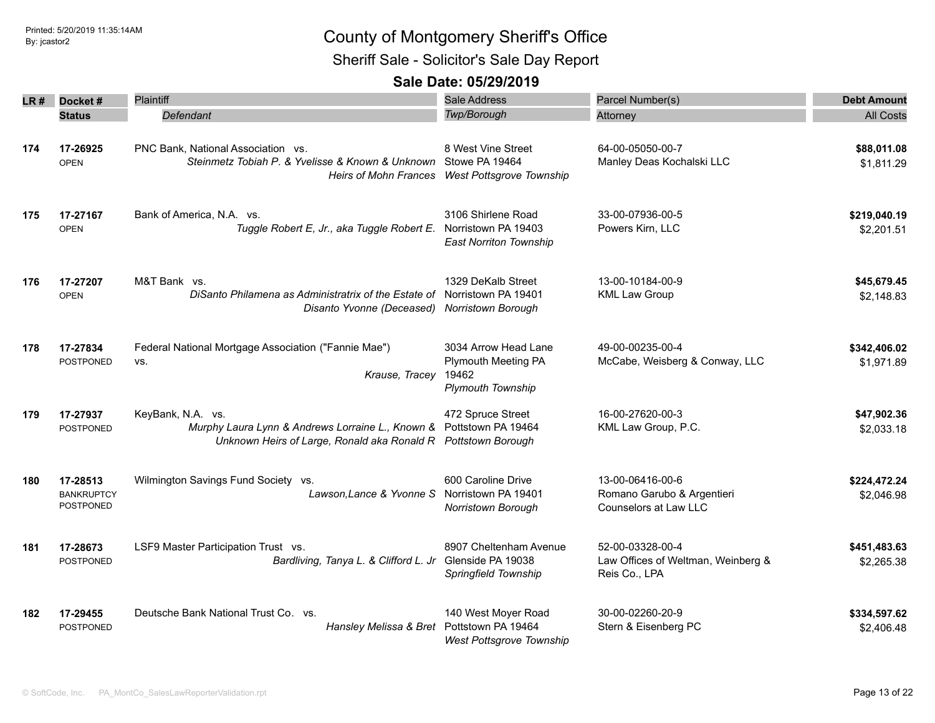Sheriff Sale - Solicitor's Sale Day Report

| LR # | Docket #                                   | Plaintiff                                                                                                                                                 | Sale Address                                                                            | Parcel Number(s)                                                        | <b>Debt Amount</b>         |
|------|--------------------------------------------|-----------------------------------------------------------------------------------------------------------------------------------------------------------|-----------------------------------------------------------------------------------------|-------------------------------------------------------------------------|----------------------------|
|      | <b>Status</b>                              | Defendant                                                                                                                                                 | Twp/Borough                                                                             | Attorney                                                                | <b>All Costs</b>           |
| 174  | 17-26925<br><b>OPEN</b>                    | PNC Bank, National Association vs.<br>Steinmetz Tobiah P. & Yvelisse & Known & Unknown Stowe PA 19464                                                     | 8 West Vine Street<br>Heirs of Mohn Frances West Pottsgrove Township                    | 64-00-05050-00-7<br>Manley Deas Kochalski LLC                           | \$88,011.08<br>\$1,811.29  |
| 175  | 17-27167<br><b>OPEN</b>                    | Bank of America, N.A. vs.<br>Tuggle Robert E, Jr., aka Tuggle Robert E.                                                                                   | 3106 Shirlene Road<br>Norristown PA 19403<br><b>East Norriton Township</b>              | 33-00-07936-00-5<br>Powers Kirn, LLC                                    | \$219,040.19<br>\$2,201.51 |
| 176  | 17-27207<br><b>OPEN</b>                    | M&T Bank vs.<br>DiSanto Philamena as Administratrix of the Estate of<br>Disanto Yvonne (Deceased)                                                         | 1329 DeKalb Street<br>Norristown PA 19401<br>Norristown Borough                         | 13-00-10184-00-9<br><b>KML Law Group</b>                                | \$45,679.45<br>\$2,148.83  |
| 178  | 17-27834<br><b>POSTPONED</b>               | Federal National Mortgage Association ("Fannie Mae")<br>VS.<br>Krause, Tracey                                                                             | 3034 Arrow Head Lane<br><b>Plymouth Meeting PA</b><br>19462<br><b>Plymouth Township</b> | 49-00-00235-00-4<br>McCabe, Weisberg & Conway, LLC                      | \$342,406.02<br>\$1,971.89 |
| 179  | 17-27937<br><b>POSTPONED</b>               | KeyBank, N.A. vs.<br>Murphy Laura Lynn & Andrews Lorraine L., Known & Pottstown PA 19464<br>Unknown Heirs of Large, Ronald aka Ronald R Pottstown Borough | 472 Spruce Street                                                                       | 16-00-27620-00-3<br>KML Law Group, P.C.                                 | \$47,902.36<br>\$2,033.18  |
| 180  | 17-28513<br><b>BANKRUPTCY</b><br>POSTPONED | Wilmington Savings Fund Society vs.<br>Lawson, Lance & Yvonne S                                                                                           | 600 Caroline Drive<br>Norristown PA 19401<br>Norristown Borough                         | 13-00-06416-00-6<br>Romano Garubo & Argentieri<br>Counselors at Law LLC | \$224,472.24<br>\$2,046.98 |
| 181  | 17-28673<br>POSTPONED                      | LSF9 Master Participation Trust vs.<br>Bardliving, Tanya L. & Clifford L. Jr Glenside PA 19038                                                            | 8907 Cheltenham Avenue<br>Springfield Township                                          | 52-00-03328-00-4<br>Law Offices of Weltman, Weinberg &<br>Reis Co., LPA | \$451,483.63<br>\$2,265.38 |
| 182  | 17-29455<br>POSTPONED                      | Deutsche Bank National Trust Co. vs.<br>Hansley Melissa & Bret                                                                                            | 140 West Moyer Road<br>Pottstown PA 19464<br><b>West Pottsgrove Township</b>            | 30-00-02260-20-9<br>Stern & Eisenberg PC                                | \$334,597.62<br>\$2,406.48 |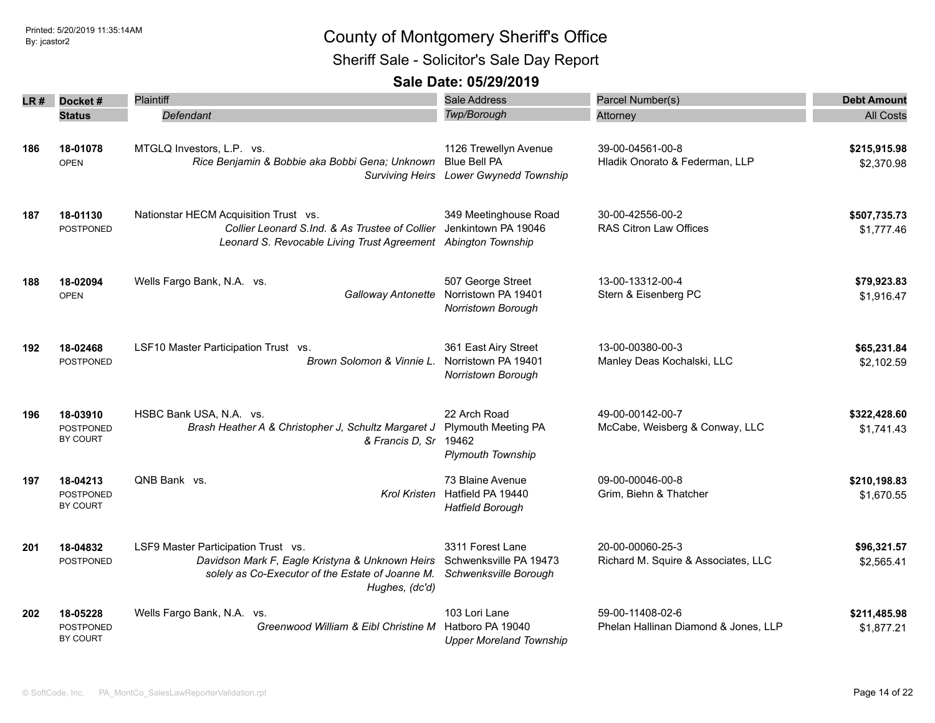Sheriff Sale - Solicitor's Sale Day Report

| LR # | Docket#                                  | Plaintiff                                                                                                                                                    | Sale Address                                                                           | Parcel Number(s)                                         | <b>Debt Amount</b>         |
|------|------------------------------------------|--------------------------------------------------------------------------------------------------------------------------------------------------------------|----------------------------------------------------------------------------------------|----------------------------------------------------------|----------------------------|
|      | <b>Status</b>                            | Defendant                                                                                                                                                    | Twp/Borough                                                                            | Attorney                                                 | <b>All Costs</b>           |
| 186  | 18-01078<br><b>OPEN</b>                  | MTGLQ Investors, L.P. vs.<br>Rice Benjamin & Bobbie aka Bobbi Gena; Unknown                                                                                  | 1126 Trewellyn Avenue<br><b>Blue Bell PA</b><br>Surviving Heirs Lower Gwynedd Township | 39-00-04561-00-8<br>Hladik Onorato & Federman, LLP       | \$215,915.98<br>\$2,370.98 |
| 187  | 18-01130<br><b>POSTPONED</b>             | Nationstar HECM Acquisition Trust vs.<br>Collier Leonard S.Ind. & As Trustee of Collier<br>Leonard S. Revocable Living Trust Agreement Abington Township     | 349 Meetinghouse Road<br>Jenkintown PA 19046                                           | 30-00-42556-00-2<br>RAS Citron Law Offices               | \$507,735.73<br>\$1,777.46 |
| 188  | 18-02094<br><b>OPEN</b>                  | Wells Fargo Bank, N.A. vs.<br>Galloway Antonette                                                                                                             | 507 George Street<br>Norristown PA 19401<br>Norristown Borough                         | 13-00-13312-00-4<br>Stern & Eisenberg PC                 | \$79,923.83<br>\$1,916.47  |
| 192  | 18-02468<br><b>POSTPONED</b>             | LSF10 Master Participation Trust vs.<br>Brown Solomon & Vinnie L.                                                                                            | 361 East Airy Street<br>Norristown PA 19401<br>Norristown Borough                      | 13-00-00380-00-3<br>Manley Deas Kochalski, LLC           | \$65,231.84<br>\$2,102.59  |
| 196  | 18-03910<br><b>POSTPONED</b><br>BY COURT | HSBC Bank USA, N.A. vs.<br>Brash Heather A & Christopher J, Schultz Margaret J<br>& Francis D, Sr 19462                                                      | 22 Arch Road<br><b>Plymouth Meeting PA</b><br><b>Plymouth Township</b>                 | 49-00-00142-00-7<br>McCabe, Weisberg & Conway, LLC       | \$322,428.60<br>\$1,741.43 |
| 197  | 18-04213<br><b>POSTPONED</b><br>BY COURT | QNB Bank vs.<br><b>Krol Kristen</b>                                                                                                                          | 73 Blaine Avenue<br>Hatfield PA 19440<br><b>Hatfield Borough</b>                       | 09-00-00046-00-8<br>Grim, Biehn & Thatcher               | \$210,198.83<br>\$1,670.55 |
| 201  | 18-04832<br>POSTPONED                    | LSF9 Master Participation Trust vs.<br>Davidson Mark F, Eagle Kristyna & Unknown Heirs<br>solely as Co-Executor of the Estate of Joanne M.<br>Hughes, (dc'd) | 3311 Forest Lane<br>Schwenksville PA 19473<br>Schwenksville Borough                    | 20-00-00060-25-3<br>Richard M. Squire & Associates, LLC  | \$96,321.57<br>\$2,565.41  |
| 202  | 18-05228<br><b>POSTPONED</b><br>BY COURT | Wells Fargo Bank, N.A. vs.<br>Greenwood William & Eibl Christine M                                                                                           | 103 Lori Lane<br>Hatboro PA 19040<br><b>Upper Moreland Township</b>                    | 59-00-11408-02-6<br>Phelan Hallinan Diamond & Jones, LLP | \$211,485.98<br>\$1,877.21 |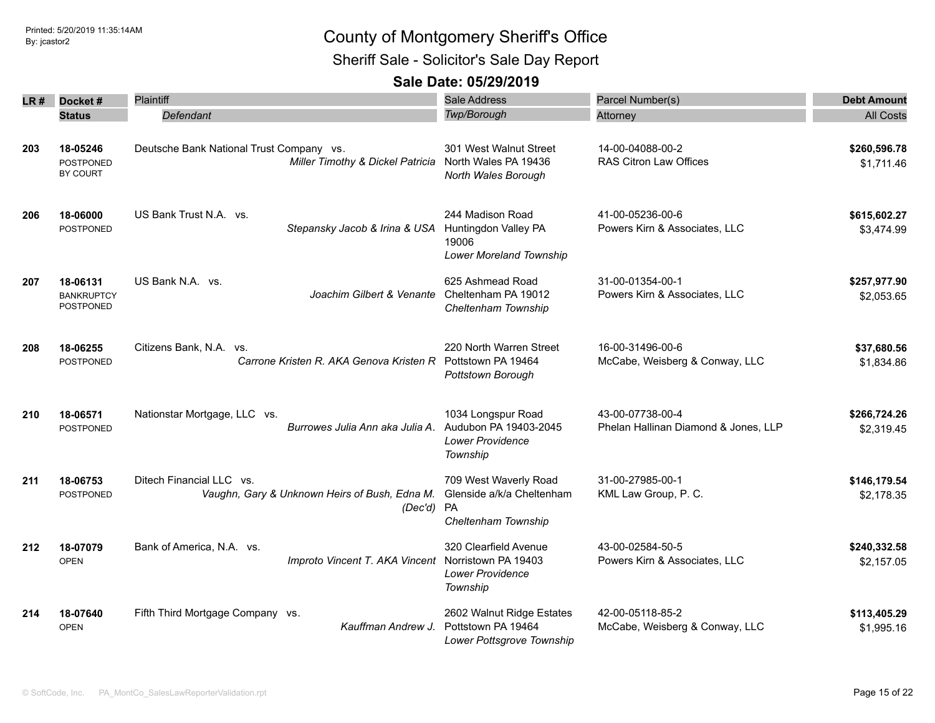Sheriff Sale - Solicitor's Sale Day Report

| LR # | Docket#                                           | Plaintiff                                                                             | <b>Sale Address</b>                                                                    | Parcel Number(s)                                         | <b>Debt Amount</b>         |
|------|---------------------------------------------------|---------------------------------------------------------------------------------------|----------------------------------------------------------------------------------------|----------------------------------------------------------|----------------------------|
|      | <b>Status</b>                                     | Defendant                                                                             | Twp/Borough                                                                            | Attorney                                                 | <b>All Costs</b>           |
| 203  | 18-05246<br><b>POSTPONED</b><br>BY COURT          | Deutsche Bank National Trust Company vs.<br>Miller Timothy & Dickel Patricia          | 301 West Walnut Street<br>North Wales PA 19436<br>North Wales Borough                  | 14-00-04088-00-2<br><b>RAS Citron Law Offices</b>        | \$260,596.78<br>\$1,711.46 |
| 206  | 18-06000<br><b>POSTPONED</b>                      | US Bank Trust N.A. vs.<br>Stepansky Jacob & Irina & USA                               | 244 Madison Road<br>Huntingdon Valley PA<br>19006<br>Lower Moreland Township           | 41-00-05236-00-6<br>Powers Kirn & Associates, LLC        | \$615,602.27<br>\$3,474.99 |
| 207  | 18-06131<br><b>BANKRUPTCY</b><br><b>POSTPONED</b> | US Bank N.A. vs.<br>Joachim Gilbert & Venante                                         | 625 Ashmead Road<br>Cheltenham PA 19012<br>Cheltenham Township                         | 31-00-01354-00-1<br>Powers Kirn & Associates, LLC        | \$257,977.90<br>\$2,053.65 |
| 208  | 18-06255<br>POSTPONED                             | Citizens Bank, N.A. vs.<br>Carrone Kristen R. AKA Genova Kristen R Pottstown PA 19464 | 220 North Warren Street<br>Pottstown Borough                                           | 16-00-31496-00-6<br>McCabe, Weisberg & Conway, LLC       | \$37,680.56<br>\$1,834.86  |
| 210  | 18-06571<br><b>POSTPONED</b>                      | Nationstar Mortgage, LLC vs.<br>Burrowes Julia Ann aka Julia A.                       | 1034 Longspur Road<br>Audubon PA 19403-2045<br><b>Lower Providence</b><br>Township     | 43-00-07738-00-4<br>Phelan Hallinan Diamond & Jones, LLP | \$266,724.26<br>\$2,319.45 |
| 211  | 18-06753<br>POSTPONED                             | Ditech Financial LLC vs.<br>Vaughn, Gary & Unknown Heirs of Bush, Edna M.<br>(Dec'd)  | 709 West Waverly Road<br>Glenside a/k/a Cheltenham<br><b>PA</b><br>Cheltenham Township | 31-00-27985-00-1<br>KML Law Group, P. C.                 | \$146,179.54<br>\$2,178.35 |
| 212  | 18-07079<br><b>OPEN</b>                           | Bank of America, N.A. vs.<br>Improto Vincent T. AKA Vincent                           | 320 Clearfield Avenue<br>Norristown PA 19403<br><b>Lower Providence</b><br>Township    | 43-00-02584-50-5<br>Powers Kirn & Associates, LLC        | \$240,332.58<br>\$2,157.05 |
| 214  | 18-07640<br><b>OPEN</b>                           | Fifth Third Mortgage Company vs.<br>Kauffman Andrew J.                                | 2602 Walnut Ridge Estates<br>Pottstown PA 19464<br>Lower Pottsgrove Township           | 42-00-05118-85-2<br>McCabe, Weisberg & Conway, LLC       | \$113,405.29<br>\$1,995.16 |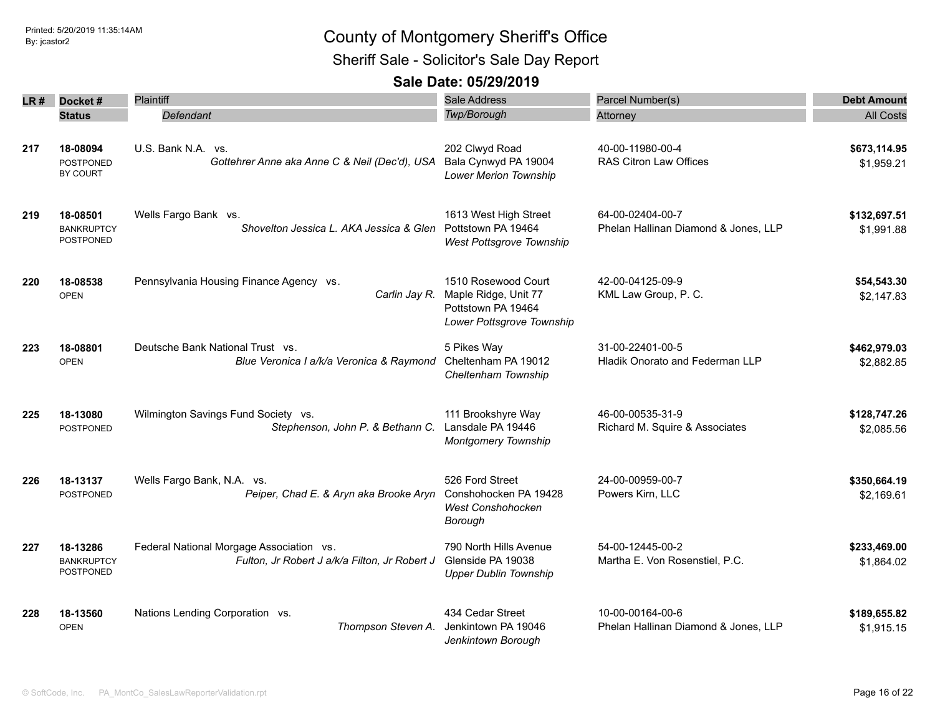Sheriff Sale - Solicitor's Sale Day Report

| LR # | Docket#                                           | <b>Plaintiff</b>                                                                          | Sale Address                                                                                   | Parcel Number(s)                                         | <b>Debt Amount</b>         |
|------|---------------------------------------------------|-------------------------------------------------------------------------------------------|------------------------------------------------------------------------------------------------|----------------------------------------------------------|----------------------------|
|      | <b>Status</b>                                     | Defendant                                                                                 | Twp/Borough                                                                                    | Attorney                                                 | <b>All Costs</b>           |
|      |                                                   |                                                                                           |                                                                                                |                                                          |                            |
| 217  | 18-08094<br><b>POSTPONED</b><br>BY COURT          | U.S. Bank N.A. vs.<br>Gottehrer Anne aka Anne C & Neil (Dec'd), USA                       | 202 Clwyd Road<br>Bala Cynwyd PA 19004<br><b>Lower Merion Township</b>                         | 40-00-11980-00-4<br>RAS Citron Law Offices               | \$673,114.95<br>\$1,959.21 |
| 219  | 18-08501<br><b>BANKRUPTCY</b><br><b>POSTPONED</b> | Wells Fargo Bank vs.<br>Shovelton Jessica L. AKA Jessica & Glen Pottstown PA 19464        | 1613 West High Street<br>West Pottsgrove Township                                              | 64-00-02404-00-7<br>Phelan Hallinan Diamond & Jones, LLP | \$132,697.51<br>\$1,991.88 |
| 220  | 18-08538<br><b>OPEN</b>                           | Pennsylvania Housing Finance Agency vs.<br>Carlin Jay R.                                  | 1510 Rosewood Court<br>Maple Ridge, Unit 77<br>Pottstown PA 19464<br>Lower Pottsgrove Township | 42-00-04125-09-9<br>KML Law Group, P. C.                 | \$54,543.30<br>\$2,147.83  |
| 223  | 18-08801<br><b>OPEN</b>                           | Deutsche Bank National Trust vs.<br>Blue Veronica I a/k/a Veronica & Raymond              | 5 Pikes Way<br>Cheltenham PA 19012<br>Cheltenham Township                                      | 31-00-22401-00-5<br>Hladik Onorato and Federman LLP      | \$462,979.03<br>\$2,882.85 |
| 225  | 18-13080<br>POSTPONED                             | Wilmington Savings Fund Society vs.<br>Stephenson, John P. & Bethann C.                   | 111 Brookshyre Way<br>Lansdale PA 19446<br><b>Montgomery Township</b>                          | 46-00-00535-31-9<br>Richard M. Squire & Associates       | \$128,747.26<br>\$2,085.56 |
| 226  | 18-13137<br><b>POSTPONED</b>                      | Wells Fargo Bank, N.A. vs.<br>Peiper, Chad E. & Aryn aka Brooke Aryn                      | 526 Ford Street<br>Conshohocken PA 19428<br><b>West Conshohocken</b><br>Borough                | 24-00-00959-00-7<br>Powers Kirn, LLC                     | \$350,664.19<br>\$2,169.61 |
| 227  | 18-13286<br><b>BANKRUPTCY</b><br><b>POSTPONED</b> | Federal National Morgage Association vs.<br>Fulton, Jr Robert J a/k/a Filton, Jr Robert J | 790 North Hills Avenue<br>Glenside PA 19038<br><b>Upper Dublin Township</b>                    | 54-00-12445-00-2<br>Martha E. Von Rosenstiel, P.C.       | \$233,469.00<br>\$1,864.02 |
| 228  | 18-13560<br><b>OPEN</b>                           | Nations Lending Corporation vs.<br>Thompson Steven A.                                     | 434 Cedar Street<br>Jenkintown PA 19046<br>Jenkintown Borough                                  | 10-00-00164-00-6<br>Phelan Hallinan Diamond & Jones, LLP | \$189,655.82<br>\$1,915.15 |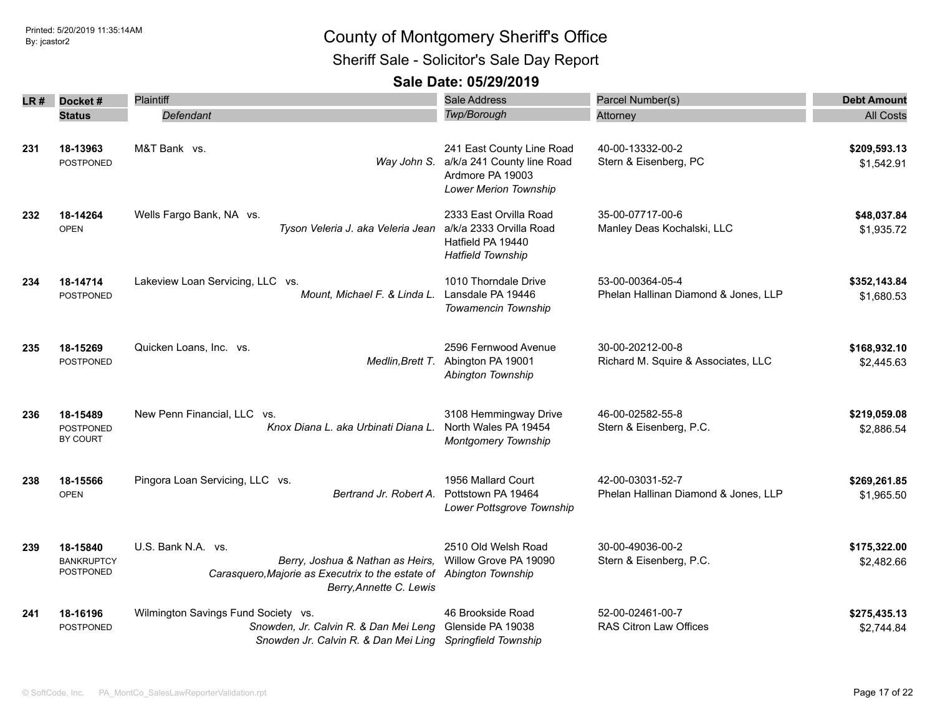Sheriff Sale - Solicitor's Sale Day Report

| LR # | Docket#                                    | Plaintiff                                                                                                                                                | <b>Sale Address</b>                                                                                              | Parcel Number(s)                                         | <b>Debt Amount</b>         |
|------|--------------------------------------------|----------------------------------------------------------------------------------------------------------------------------------------------------------|------------------------------------------------------------------------------------------------------------------|----------------------------------------------------------|----------------------------|
|      | <b>Status</b>                              | Defendant                                                                                                                                                | Twp/Borough                                                                                                      | Attorney                                                 | <b>All Costs</b>           |
| 231  | 18-13963<br><b>POSTPONED</b>               | M&T Bank vs.                                                                                                                                             | 241 East County Line Road<br>Way John S. a/k/a 241 County line Road<br>Ardmore PA 19003<br>Lower Merion Township | 40-00-13332-00-2<br>Stern & Eisenberg, PC                | \$209,593.13<br>\$1,542.91 |
| 232  | 18-14264<br><b>OPEN</b>                    | Wells Fargo Bank, NA vs.<br>Tyson Veleria J. aka Veleria Jean                                                                                            | 2333 East Orvilla Road<br>a/k/a 2333 Orvilla Road<br>Hatfield PA 19440<br><b>Hatfield Township</b>               | 35-00-07717-00-6<br>Manley Deas Kochalski, LLC           | \$48,037.84<br>\$1,935.72  |
| 234  | 18-14714<br><b>POSTPONED</b>               | Lakeview Loan Servicing, LLC vs.<br>Mount, Michael F. & Linda L.                                                                                         | 1010 Thorndale Drive<br>Lansdale PA 19446<br>Towamencin Township                                                 | 53-00-00364-05-4<br>Phelan Hallinan Diamond & Jones, LLP | \$352,143.84<br>\$1,680.53 |
| 235  | 18-15269<br><b>POSTPONED</b>               | Quicken Loans, Inc. vs.<br>Medlin, Brett T.                                                                                                              | 2596 Fernwood Avenue<br>Abington PA 19001<br>Abington Township                                                   | 30-00-20212-00-8<br>Richard M. Squire & Associates, LLC  | \$168,932.10<br>\$2,445.63 |
| 236  | 18-15489<br><b>POSTPONED</b><br>BY COURT   | New Penn Financial, LLC vs.<br>Knox Diana L. aka Urbinati Diana L.                                                                                       | 3108 Hemmingway Drive<br>North Wales PA 19454<br><b>Montgomery Township</b>                                      | 46-00-02582-55-8<br>Stern & Eisenberg, P.C.              | \$219,059.08<br>\$2,886.54 |
| 238  | 18-15566<br><b>OPEN</b>                    | Pingora Loan Servicing, LLC vs.<br>Bertrand Jr. Robert A.                                                                                                | 1956 Mallard Court<br>Pottstown PA 19464<br>Lower Pottsgrove Township                                            | 42-00-03031-52-7<br>Phelan Hallinan Diamond & Jones, LLP | \$269,261.85<br>\$1,965.50 |
| 239  | 18-15840<br><b>BANKRUPTCY</b><br>POSTPONED | U.S. Bank N.A. vs.<br>Berry, Joshua & Nathan as Heirs,<br>Carasquero, Majorie as Executrix to the estate of Abington Township<br>Berry, Annette C. Lewis | 2510 Old Welsh Road<br>Willow Grove PA 19090                                                                     | 30-00-49036-00-2<br>Stern & Eisenberg, P.C.              | \$175,322.00<br>\$2,482.66 |
| 241  | 18-16196<br><b>POSTPONED</b>               | Wilmington Savings Fund Society vs.<br>Snowden, Jr. Calvin R. & Dan Mei Leng<br>Snowden Jr. Calvin R. & Dan Mei Ling Springfield Township                | 46 Brookside Road<br>Glenside PA 19038                                                                           | 52-00-02461-00-7<br><b>RAS Citron Law Offices</b>        | \$275,435.13<br>\$2,744.84 |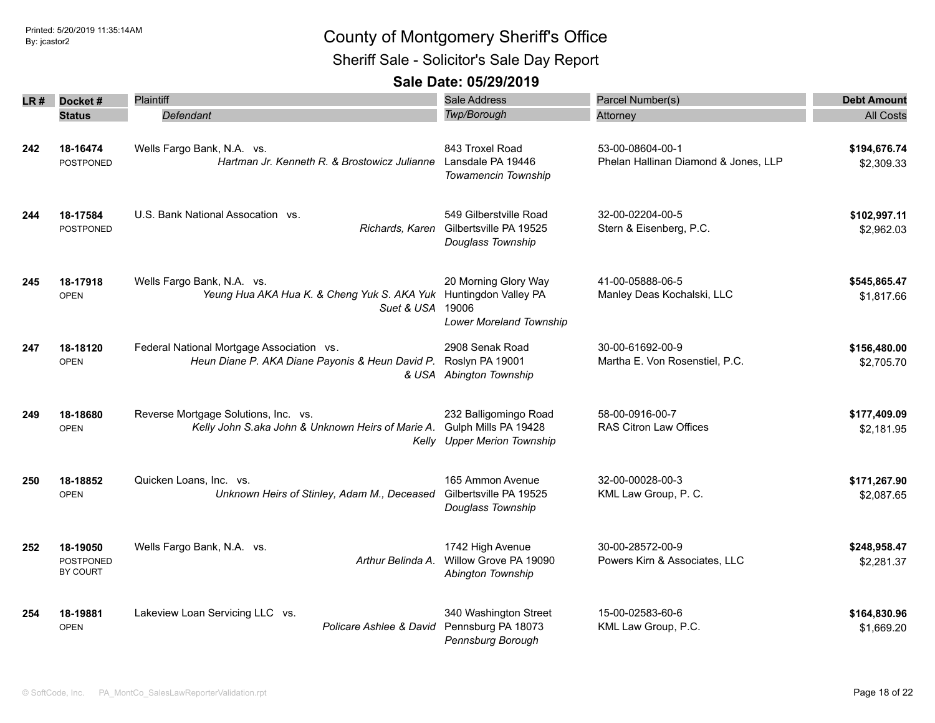Sheriff Sale - Solicitor's Sale Day Report

| LR # | Docket#                                  | Plaintiff                                                                                                          | <b>Sale Address</b>                                                                   | Parcel Number(s)                                         | <b>Debt Amount</b>         |
|------|------------------------------------------|--------------------------------------------------------------------------------------------------------------------|---------------------------------------------------------------------------------------|----------------------------------------------------------|----------------------------|
|      | <b>Status</b>                            | Defendant                                                                                                          | Twp/Borough                                                                           | Attorney                                                 | <b>All Costs</b>           |
| 242  | 18-16474<br>POSTPONED                    | Wells Fargo Bank, N.A. vs.<br>Hartman Jr. Kenneth R. & Brostowicz Julianne                                         | 843 Troxel Road<br>Lansdale PA 19446<br><b>Towamencin Township</b>                    | 53-00-08604-00-1<br>Phelan Hallinan Diamond & Jones, LLP | \$194,676.74<br>\$2,309.33 |
| 244  | 18-17584<br><b>POSTPONED</b>             | U.S. Bank National Assocation vs.                                                                                  | 549 Gilberstville Road<br>Richards, Karen Gilbertsville PA 19525<br>Douglass Township | 32-00-02204-00-5<br>Stern & Eisenberg, P.C.              | \$102,997.11<br>\$2,962.03 |
| 245  | 18-17918<br><b>OPEN</b>                  | Wells Fargo Bank, N.A. vs.<br>Yeung Hua AKA Hua K. & Cheng Yuk S. AKA Yuk Huntingdon Valley PA<br>Suet & USA 19006 | 20 Morning Glory Way<br>Lower Moreland Township                                       | 41-00-05888-06-5<br>Manley Deas Kochalski, LLC           | \$545,865.47<br>\$1,817.66 |
| 247  | 18-18120<br><b>OPEN</b>                  | Federal National Mortgage Association vs.<br>Heun Diane P. AKA Diane Payonis & Heun David P.                       | 2908 Senak Road<br>Roslyn PA 19001<br>& USA Abington Township                         | 30-00-61692-00-9<br>Martha E. Von Rosenstiel, P.C.       | \$156,480.00<br>\$2,705.70 |
| 249  | 18-18680<br><b>OPEN</b>                  | Reverse Mortgage Solutions, Inc. vs.<br>Kelly John S.aka John & Unknown Heirs of Marie A.                          | 232 Balligomingo Road<br>Gulph Mills PA 19428<br>Kelly Upper Merion Township          | 58-00-0916-00-7<br>RAS Citron Law Offices                | \$177,409.09<br>\$2,181.95 |
| 250  | 18-18852<br><b>OPEN</b>                  | Quicken Loans, Inc. vs.<br>Unknown Heirs of Stinley, Adam M., Deceased                                             | 165 Ammon Avenue<br>Gilbertsville PA 19525<br>Douglass Township                       | 32-00-00028-00-3<br>KML Law Group, P. C.                 | \$171,267.90<br>\$2,087.65 |
| 252  | 18-19050<br><b>POSTPONED</b><br>BY COURT | Wells Fargo Bank, N.A. vs.<br>Arthur Belinda A.                                                                    | 1742 High Avenue<br>Willow Grove PA 19090<br>Abington Township                        | 30-00-28572-00-9<br>Powers Kirn & Associates, LLC        | \$248,958.47<br>\$2,281.37 |
| 254  | 18-19881<br><b>OPEN</b>                  | Lakeview Loan Servicing LLC vs.<br>Policare Ashlee & David                                                         | 340 Washington Street<br>Pennsburg PA 18073<br>Pennsburg Borough                      | 15-00-02583-60-6<br>KML Law Group, P.C.                  | \$164,830.96<br>\$1,669.20 |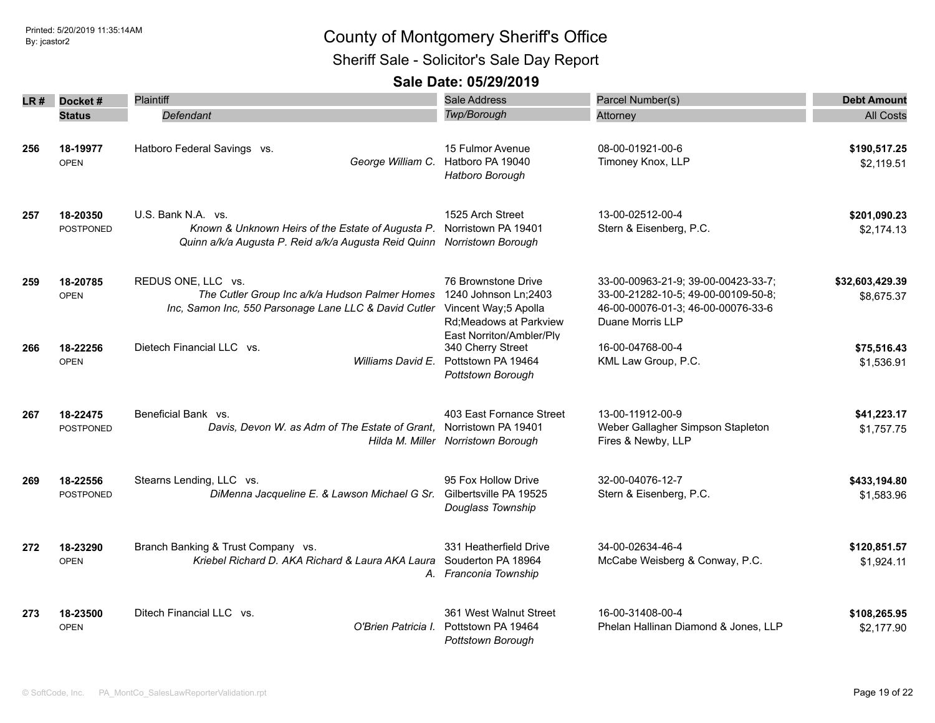Sheriff Sale - Solicitor's Sale Day Report

|     | $LR#$ Docket#    | Plaintiff                                                               | Sale Address                                  | Parcel Number(s)                     | <b>Debt Amount</b> |
|-----|------------------|-------------------------------------------------------------------------|-----------------------------------------------|--------------------------------------|--------------------|
|     | <b>Status</b>    | Defendant                                                               | Twp/Borough                                   | Attorney                             | <b>All Costs</b>   |
|     |                  |                                                                         |                                               |                                      |                    |
| 256 | 18-19977         | Hatboro Federal Savings vs.                                             | 15 Fulmor Avenue                              | 08-00-01921-00-6                     | \$190,517.25       |
|     | <b>OPEN</b>      |                                                                         | George William C. Hatboro PA 19040            | Timoney Knox, LLP                    | \$2,119.51         |
|     |                  |                                                                         | Hatboro Borough                               |                                      |                    |
| 257 | 18-20350         | U.S. Bank N.A. vs.                                                      | 1525 Arch Street                              | 13-00-02512-00-4                     | \$201,090.23       |
|     | <b>POSTPONED</b> | Known & Unknown Heirs of the Estate of Augusta P.                       | Norristown PA 19401                           | Stern & Eisenberg, P.C.              | \$2,174.13         |
|     |                  | Quinn a/k/a Augusta P. Reid a/k/a Augusta Reid Quinn Norristown Borough |                                               |                                      |                    |
| 259 | 18-20785         | REDUS ONE, LLC vs.                                                      | 76 Brownstone Drive                           | 33-00-00963-21-9; 39-00-00423-33-7;  | \$32,603,429.39    |
|     | <b>OPEN</b>      | The Cutler Group Inc a/k/a Hudson Palmer Homes                          | 1240 Johnson Ln;2403                          | 33-00-21282-10-5; 49-00-00109-50-8;  | \$8,675.37         |
|     |                  | Inc, Samon Inc, 550 Parsonage Lane LLC & David Cutler                   | Vincent Way;5 Apolla                          | 46-00-00076-01-3; 46-00-00076-33-6   |                    |
|     |                  |                                                                         | Rd; Meadows at Parkview                       | Duane Morris LLP                     |                    |
| 266 | 18-22256         | Dietech Financial LLC vs.                                               | East Norriton/Ambler/Ply<br>340 Cherry Street | 16-00-04768-00-4                     | \$75,516.43        |
|     | <b>OPEN</b>      | Williams David E.                                                       | Pottstown PA 19464                            | KML Law Group, P.C.                  | \$1,536.91         |
|     |                  |                                                                         | Pottstown Borough                             |                                      |                    |
| 267 | 18-22475         | Beneficial Bank vs.                                                     | 403 East Fornance Street                      | 13-00-11912-00-9                     | \$41,223.17        |
|     | <b>POSTPONED</b> | Davis, Devon W. as Adm of The Estate of Grant,                          | Norristown PA 19401                           | Weber Gallagher Simpson Stapleton    | \$1,757.75         |
|     |                  |                                                                         | Hilda M. Miller Norristown Borough            | Fires & Newby, LLP                   |                    |
| 269 | 18-22556         | Stearns Lending, LLC vs.                                                | 95 Fox Hollow Drive                           | 32-00-04076-12-7                     | \$433,194.80       |
|     | <b>POSTPONED</b> | DiMenna Jacqueline E. & Lawson Michael G Sr.                            | Gilbertsville PA 19525<br>Douglass Township   | Stern & Eisenberg, P.C.              | \$1,583.96         |
| 272 | 18-23290         | Branch Banking & Trust Company vs.                                      | 331 Heatherfield Drive                        | 34-00-02634-46-4                     | \$120,851.57       |
|     | <b>OPEN</b>      | Kriebel Richard D. AKA Richard & Laura AKA Laura                        | Souderton PA 18964<br>A. Franconia Township   | McCabe Weisberg & Conway, P.C.       | \$1,924.11         |
| 273 | 18-23500         | Ditech Financial LLC vs.                                                | 361 West Walnut Street                        | 16-00-31408-00-4                     | \$108,265.95       |
|     | <b>OPEN</b>      | O'Brien Patricia I.                                                     | Pottstown PA 19464<br>Pottstown Borouah       | Phelan Hallinan Diamond & Jones, LLP | \$2,177.90         |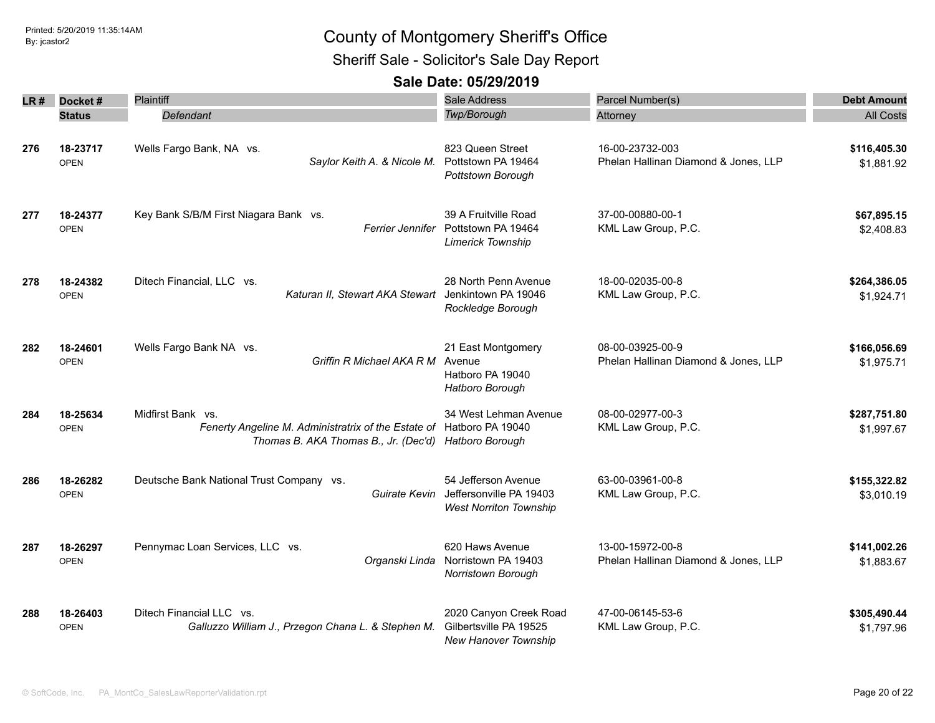Sheriff Sale - Solicitor's Sale Day Report

| LR # | Docket#                 | Plaintiff                                                                                                                                         | Sale Address                                                                    | Parcel Number(s)                                         | <b>Debt Amount</b>         |
|------|-------------------------|---------------------------------------------------------------------------------------------------------------------------------------------------|---------------------------------------------------------------------------------|----------------------------------------------------------|----------------------------|
|      | <b>Status</b>           | Defendant                                                                                                                                         | Twp/Borough                                                                     | Attorney                                                 | <b>All Costs</b>           |
| 276  | 18-23717<br><b>OPEN</b> | Wells Fargo Bank, NA vs.<br>Saylor Keith A. & Nicole M.                                                                                           | 823 Queen Street<br>Pottstown PA 19464<br>Pottstown Borough                     | 16-00-23732-003<br>Phelan Hallinan Diamond & Jones, LLP  | \$116,405.30<br>\$1,881.92 |
| 277  | 18-24377<br><b>OPEN</b> | Key Bank S/B/M First Niagara Bank vs.<br><i>Ferrier Jennifer</i>                                                                                  | 39 A Fruitville Road<br>Pottstown PA 19464<br><b>Limerick Township</b>          | 37-00-00880-00-1<br>KML Law Group, P.C.                  | \$67,895.15<br>\$2,408.83  |
| 278  | 18-24382<br><b>OPEN</b> | Ditech Financial, LLC vs.<br>Katuran II, Stewart AKA Stewart Jenkintown PA 19046                                                                  | 28 North Penn Avenue<br>Rockledge Borough                                       | 18-00-02035-00-8<br>KML Law Group, P.C.                  | \$264,386.05<br>\$1,924.71 |
| 282  | 18-24601<br><b>OPEN</b> | Wells Fargo Bank NA vs.<br>Griffin R Michael AKA R M                                                                                              | 21 East Montgomery<br>Avenue<br>Hatboro PA 19040<br>Hatboro Borough             | 08-00-03925-00-9<br>Phelan Hallinan Diamond & Jones, LLP | \$166,056.69<br>\$1,975.71 |
| 284  | 18-25634<br><b>OPEN</b> | Midfirst Bank vs.<br>Fenerty Angeline M. Administratrix of the Estate of Hatboro PA 19040<br>Thomas B. AKA Thomas B., Jr. (Dec'd) Hatboro Borough | 34 West Lehman Avenue                                                           | 08-00-02977-00-3<br>KML Law Group, P.C.                  | \$287,751.80<br>\$1,997.67 |
| 286  | 18-26282<br><b>OPEN</b> | Deutsche Bank National Trust Company vs.<br>Guirate Kevin                                                                                         | 54 Jefferson Avenue<br>Jeffersonville PA 19403<br><b>West Norriton Township</b> | 63-00-03961-00-8<br>KML Law Group, P.C.                  | \$155,322.82<br>\$3,010.19 |
| 287  | 18-26297<br><b>OPEN</b> | Pennymac Loan Services, LLC vs.<br>Organski Linda                                                                                                 | 620 Haws Avenue<br>Norristown PA 19403<br>Norristown Borough                    | 13-00-15972-00-8<br>Phelan Hallinan Diamond & Jones, LLP | \$141,002.26<br>\$1,883.67 |
| 288  | 18-26403<br><b>OPEN</b> | Ditech Financial LLC vs.<br>Galluzzo William J., Przegon Chana L. & Stephen M.                                                                    | 2020 Canyon Creek Road<br>Gilbertsville PA 19525<br><b>New Hanover Township</b> | 47-00-06145-53-6<br>KML Law Group, P.C.                  | \$305,490.44<br>\$1,797.96 |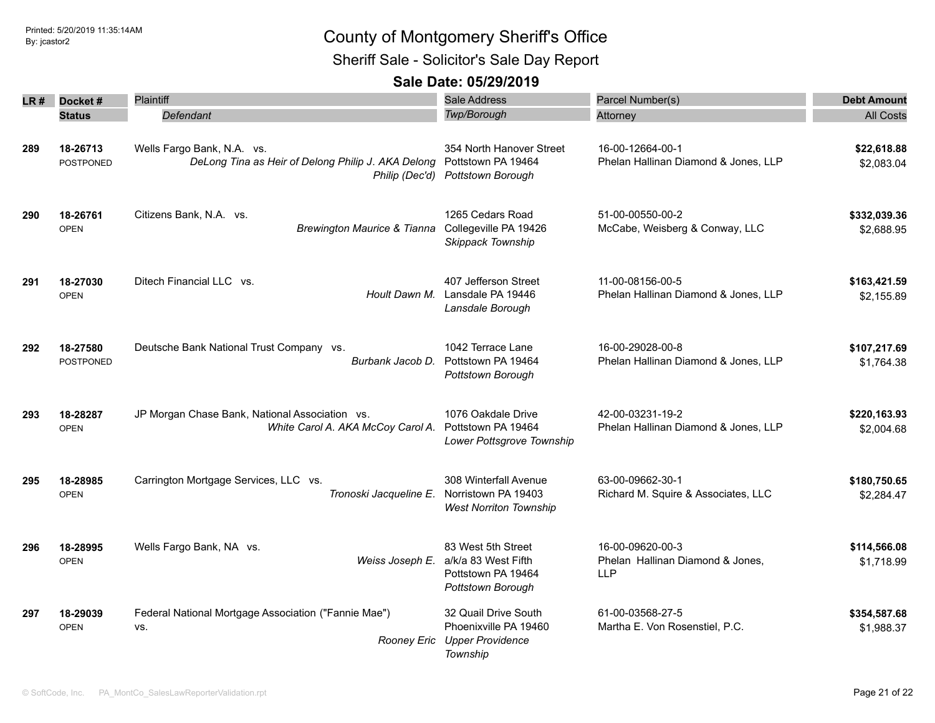Sheriff Sale - Solicitor's Sale Day Report

| LR # | Docket#                      | Plaintiff                                                                                          | Sale Address<br><b>Twp/Borough</b>                                                   | Parcel Number(s)                                                   | <b>Debt Amount</b>         |
|------|------------------------------|----------------------------------------------------------------------------------------------------|--------------------------------------------------------------------------------------|--------------------------------------------------------------------|----------------------------|
|      | <b>Status</b>                | Defendant                                                                                          |                                                                                      | Attorney                                                           | <b>All Costs</b>           |
| 289  | 18-26713<br>POSTPONED        | Wells Fargo Bank, N.A. vs.<br>DeLong Tina as Heir of Delong Philip J. AKA Delong<br>Philip (Dec'd) | 354 North Hanover Street<br>Pottstown PA 19464<br>Pottstown Borough                  | 16-00-12664-00-1<br>Phelan Hallinan Diamond & Jones, LLP           | \$22,618.88<br>\$2,083.04  |
| 290  | 18-26761<br><b>OPEN</b>      | Citizens Bank, N.A. vs.<br><b>Brewington Maurice &amp; Tianna</b>                                  | 1265 Cedars Road<br>Collegeville PA 19426<br>Skippack Township                       | 51-00-00550-00-2<br>McCabe, Weisberg & Conway, LLC                 | \$332,039.36<br>\$2,688.95 |
| 291  | 18-27030<br><b>OPEN</b>      | Ditech Financial LLC vs.<br>Hoult Dawn M.                                                          | 407 Jefferson Street<br>Lansdale PA 19446<br>Lansdale Borough                        | 11-00-08156-00-5<br>Phelan Hallinan Diamond & Jones, LLP           | \$163,421.59<br>\$2,155.89 |
| 292  | 18-27580<br><b>POSTPONED</b> | Deutsche Bank National Trust Company vs.<br>Burbank Jacob D.                                       | 1042 Terrace Lane<br>Pottstown PA 19464<br>Pottstown Borough                         | 16-00-29028-00-8<br>Phelan Hallinan Diamond & Jones, LLP           | \$107,217.69<br>\$1.764.38 |
| 293  | 18-28287<br><b>OPEN</b>      | JP Morgan Chase Bank, National Association vs.<br>White Carol A. AKA McCoy Carol A.                | 1076 Oakdale Drive<br>Pottstown PA 19464<br>Lower Pottsgrove Township                | 42-00-03231-19-2<br>Phelan Hallinan Diamond & Jones, LLP           | \$220,163.93<br>\$2,004.68 |
| 295  | 18-28985<br><b>OPEN</b>      | Carrington Mortgage Services, LLC vs.<br>Tronoski Jacqueline E.                                    | 308 Winterfall Avenue<br>Norristown PA 19403<br><b>West Norriton Township</b>        | 63-00-09662-30-1<br>Richard M. Squire & Associates, LLC            | \$180,750.65<br>\$2,284.47 |
| 296  | 18-28995<br><b>OPEN</b>      | Wells Fargo Bank, NA vs.<br>Weiss Joseph E.                                                        | 83 West 5th Street<br>a/k/a 83 West Fifth<br>Pottstown PA 19464<br>Pottstown Borough | 16-00-09620-00-3<br>Phelan Hallinan Diamond & Jones,<br><b>LLP</b> | \$114,566.08<br>\$1,718.99 |
| 297  | 18-29039<br><b>OPEN</b>      | Federal National Mortgage Association ("Fannie Mae")<br>VS.<br>Rooney Eric                         | 32 Quail Drive South<br>Phoenixville PA 19460<br><b>Upper Providence</b><br>Township | 61-00-03568-27-5<br>Martha E. Von Rosenstiel, P.C.                 | \$354,587.68<br>\$1,988.37 |